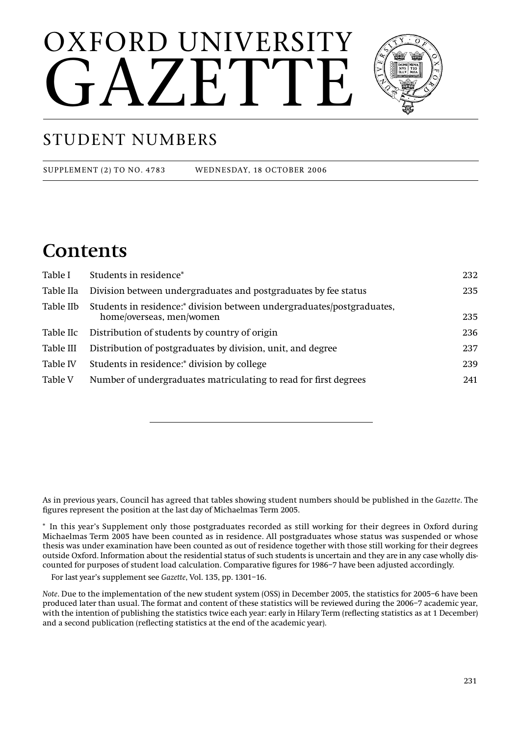# OXFORD UNIVERSITY  $\Delta$   $Z$   $E$   $T$



## STUDENT NUMBERS

SUPPLEMENT (2) TO NO. 4783 WEDNESDAY, 18 OCTOBER 2006

## **Contents**

| Table I   | Students in residence*                                                                             | 232 |
|-----------|----------------------------------------------------------------------------------------------------|-----|
| Table IIa | Division between undergraduates and postgraduates by fee status                                    | 235 |
| Table IIb | Students in residence:* division between undergraduates/postgraduates,<br>home/overseas, men/women | 235 |
| Table IIc | Distribution of students by country of origin                                                      | 236 |
| Table III | Distribution of postgraduates by division, unit, and degree                                        | 237 |
| Table IV  | Students in residence:* division by college                                                        | 239 |
| Table V   | Number of undergraduates matriculating to read for first degrees                                   | 241 |

As in previous years, Council has agreed that tables showing student numbers should be published in the *Gazette*. The figures represent the position at the last day of Michaelmas Term 2005.

\* In this year's Supplement only those postgraduates recorded as still working for their degrees in Oxford during Michaelmas Term 2005 have been counted as in residence. All postgraduates whose status was suspended or whose thesis was under examination have been counted as out of residence together with those still working for their degrees outside Oxford. Information about the residential status of such students is uncertain and they are in any case wholly discounted for purposes of student load calculation. Comparative figures for 1986–7 have been adjusted accordingly.

For last year's supplement see *Gazette*, Vol. 135, pp. 1301–16.

*Note*. Due to the implementation of the new student system (OSS) in December 2005, the statistics for 2005–6 have been produced later than usual. The format and content of these statistics will be reviewed during the 2006–7 academic year, with the intention of publishing the statistics twice each year: early in Hilary Term (reflecting statistics as at 1 December) and a second publication (reflecting statistics at the end of the academic year).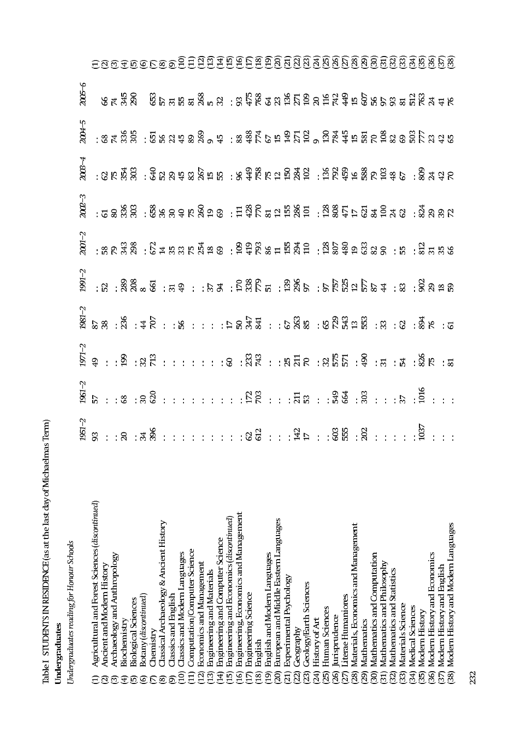| i                                         |  |
|-------------------------------------------|--|
|                                           |  |
| ֖֖֖֖֖֧֖֧֚֚֚֚֚֚֚֚֚֚֚֚֚֚֚֚֚֚֚֚֚֚֚֚֚֚֚֚֡֝֝֓֝ |  |
|                                           |  |

Undergraduates<br>Undergraduates reading for Honour Schools

|                                                            |                                                                                                                                                                                                                                                                                                                        |  | $1991 - 2$                                                                                                                                                                                                                                                                                                     | $2001 - 2$                                                                  | $2002 - 3$ | $2003 - 4$                                                                                                                                                                                                                                                                                                                           | $2004 - 5$                                                                      | $2005 - 6$ |                                   |
|------------------------------------------------------------|------------------------------------------------------------------------------------------------------------------------------------------------------------------------------------------------------------------------------------------------------------------------------------------------------------------------|--|----------------------------------------------------------------------------------------------------------------------------------------------------------------------------------------------------------------------------------------------------------------------------------------------------------------|-----------------------------------------------------------------------------|------------|--------------------------------------------------------------------------------------------------------------------------------------------------------------------------------------------------------------------------------------------------------------------------------------------------------------------------------------|---------------------------------------------------------------------------------|------------|-----------------------------------|
| Agricultural and Forest Sciences (discontinued)            |                                                                                                                                                                                                                                                                                                                        |  |                                                                                                                                                                                                                                                                                                                |                                                                             |            |                                                                                                                                                                                                                                                                                                                                      |                                                                                 |            |                                   |
| Ancient and Modern History                                 |                                                                                                                                                                                                                                                                                                                        |  |                                                                                                                                                                                                                                                                                                                |                                                                             |            |                                                                                                                                                                                                                                                                                                                                      |                                                                                 |            |                                   |
| Archaeology and Anthropology<br>ကြ                         |                                                                                                                                                                                                                                                                                                                        |  |                                                                                                                                                                                                                                                                                                                |                                                                             |            |                                                                                                                                                                                                                                                                                                                                      |                                                                                 |            |                                   |
| Biochemistry<br>त्त                                        |                                                                                                                                                                                                                                                                                                                        |  |                                                                                                                                                                                                                                                                                                                |                                                                             |            |                                                                                                                                                                                                                                                                                                                                      |                                                                                 |            |                                   |
| <b>Biological Sciences</b><br>顶                            |                                                                                                                                                                                                                                                                                                                        |  |                                                                                                                                                                                                                                                                                                                |                                                                             |            |                                                                                                                                                                                                                                                                                                                                      |                                                                                 |            |                                   |
| Botany (discontinued)<br>ତ                                 |                                                                                                                                                                                                                                                                                                                        |  |                                                                                                                                                                                                                                                                                                                |                                                                             |            |                                                                                                                                                                                                                                                                                                                                      |                                                                                 |            |                                   |
| Chemistry                                                  |                                                                                                                                                                                                                                                                                                                        |  |                                                                                                                                                                                                                                                                                                                |                                                                             |            |                                                                                                                                                                                                                                                                                                                                      |                                                                                 |            |                                   |
| lassical Archaeology & Ancient History                     |                                                                                                                                                                                                                                                                                                                        |  |                                                                                                                                                                                                                                                                                                                |                                                                             |            |                                                                                                                                                                                                                                                                                                                                      |                                                                                 |            |                                   |
| <b>Ilassics and English</b>                                |                                                                                                                                                                                                                                                                                                                        |  |                                                                                                                                                                                                                                                                                                                |                                                                             |            |                                                                                                                                                                                                                                                                                                                                      |                                                                                 |            |                                   |
| Classics and Modern Languages<br>≊                         |                                                                                                                                                                                                                                                                                                                        |  |                                                                                                                                                                                                                                                                                                                |                                                                             |            |                                                                                                                                                                                                                                                                                                                                      |                                                                                 |            |                                   |
| Computation/Computer Science<br>Ξ                          |                                                                                                                                                                                                                                                                                                                        |  |                                                                                                                                                                                                                                                                                                                |                                                                             |            |                                                                                                                                                                                                                                                                                                                                      |                                                                                 |            |                                   |
| <b>Economics and Management</b><br>$\overline{2}$          |                                                                                                                                                                                                                                                                                                                        |  |                                                                                                                                                                                                                                                                                                                |                                                                             |            |                                                                                                                                                                                                                                                                                                                                      |                                                                                 |            |                                   |
| Engineering and Materials<br>$\widetilde{13}$              |                                                                                                                                                                                                                                                                                                                        |  |                                                                                                                                                                                                                                                                                                                |                                                                             |            |                                                                                                                                                                                                                                                                                                                                      |                                                                                 |            |                                   |
| Engineering and Computer Science<br>(म                     |                                                                                                                                                                                                                                                                                                                        |  |                                                                                                                                                                                                                                                                                                                |                                                                             |            |                                                                                                                                                                                                                                                                                                                                      |                                                                                 |            |                                   |
| Engineering and Economics (discontinued)<br>$\overline{5}$ |                                                                                                                                                                                                                                                                                                                        |  |                                                                                                                                                                                                                                                                                                                |                                                                             |            |                                                                                                                                                                                                                                                                                                                                      |                                                                                 |            |                                   |
| Engineering, Economics and Management<br>ত্ৰ               |                                                                                                                                                                                                                                                                                                                        |  |                                                                                                                                                                                                                                                                                                                |                                                                             |            |                                                                                                                                                                                                                                                                                                                                      |                                                                                 |            |                                   |
| Engineering Science<br>Ë                                   |                                                                                                                                                                                                                                                                                                                        |  |                                                                                                                                                                                                                                                                                                                |                                                                             |            |                                                                                                                                                                                                                                                                                                                                      |                                                                                 |            |                                   |
| English<br>$\left( 8\right)$                               |                                                                                                                                                                                                                                                                                                                        |  |                                                                                                                                                                                                                                                                                                                |                                                                             |            |                                                                                                                                                                                                                                                                                                                                      |                                                                                 |            |                                   |
| English and Modern Languages<br>$\overline{19}$            |                                                                                                                                                                                                                                                                                                                        |  |                                                                                                                                                                                                                                                                                                                |                                                                             |            |                                                                                                                                                                                                                                                                                                                                      |                                                                                 |            |                                   |
| European and Middle Eastern Languages<br>$\widehat{20}$    |                                                                                                                                                                                                                                                                                                                        |  |                                                                                                                                                                                                                                                                                                                |                                                                             |            |                                                                                                                                                                                                                                                                                                                                      |                                                                                 |            |                                   |
| Experimental Psychology<br>$\widehat{\mathbb{Z}}$          |                                                                                                                                                                                                                                                                                                                        |  |                                                                                                                                                                                                                                                                                                                |                                                                             |            |                                                                                                                                                                                                                                                                                                                                      |                                                                                 |            |                                   |
| Geography<br>22                                            |                                                                                                                                                                                                                                                                                                                        |  |                                                                                                                                                                                                                                                                                                                |                                                                             |            |                                                                                                                                                                                                                                                                                                                                      |                                                                                 |            |                                   |
| Geology/Earth Sciences<br>$\widehat{23}$                   |                                                                                                                                                                                                                                                                                                                        |  |                                                                                                                                                                                                                                                                                                                |                                                                             |            |                                                                                                                                                                                                                                                                                                                                      |                                                                                 |            |                                   |
| History of Art<br>24                                       |                                                                                                                                                                                                                                                                                                                        |  |                                                                                                                                                                                                                                                                                                                |                                                                             |            |                                                                                                                                                                                                                                                                                                                                      |                                                                                 |            |                                   |
| Human Sciences<br>$\overline{25}$                          |                                                                                                                                                                                                                                                                                                                        |  |                                                                                                                                                                                                                                                                                                                |                                                                             |            |                                                                                                                                                                                                                                                                                                                                      |                                                                                 |            |                                   |
| urisprudence<br>ନ୍ତି                                       |                                                                                                                                                                                                                                                                                                                        |  |                                                                                                                                                                                                                                                                                                                |                                                                             |            |                                                                                                                                                                                                                                                                                                                                      |                                                                                 |            |                                   |
| iterae Humaniores<br>$\widetilde{\Sigma}$                  |                                                                                                                                                                                                                                                                                                                        |  |                                                                                                                                                                                                                                                                                                                |                                                                             |            |                                                                                                                                                                                                                                                                                                                                      |                                                                                 |            |                                   |
| Materials, Economics and Management<br>28)                 |                                                                                                                                                                                                                                                                                                                        |  |                                                                                                                                                                                                                                                                                                                |                                                                             |            |                                                                                                                                                                                                                                                                                                                                      |                                                                                 |            |                                   |
| Mathematics<br>ନ୍ଧି                                        |                                                                                                                                                                                                                                                                                                                        |  |                                                                                                                                                                                                                                                                                                                |                                                                             |            |                                                                                                                                                                                                                                                                                                                                      |                                                                                 |            |                                   |
| Mathematics and Computation<br>$\widehat{5}$               |                                                                                                                                                                                                                                                                                                                        |  |                                                                                                                                                                                                                                                                                                                |                                                                             |            |                                                                                                                                                                                                                                                                                                                                      |                                                                                 |            |                                   |
| Mathematics and Philosophy<br>$\widehat{\Xi}$              |                                                                                                                                                                                                                                                                                                                        |  |                                                                                                                                                                                                                                                                                                                |                                                                             |            |                                                                                                                                                                                                                                                                                                                                      |                                                                                 |            |                                   |
| Mathematics and Statistics<br>$\widetilde{\mathbf{2}}$     |                                                                                                                                                                                                                                                                                                                        |  |                                                                                                                                                                                                                                                                                                                |                                                                             |            |                                                                                                                                                                                                                                                                                                                                      |                                                                                 |            |                                   |
| Materials Science<br>$\overline{33}$                       |                                                                                                                                                                                                                                                                                                                        |  |                                                                                                                                                                                                                                                                                                                |                                                                             |            |                                                                                                                                                                                                                                                                                                                                      |                                                                                 |            |                                   |
| <b>Medical Sciences</b><br>त्री                            |                                                                                                                                                                                                                                                                                                                        |  |                                                                                                                                                                                                                                                                                                                |                                                                             |            |                                                                                                                                                                                                                                                                                                                                      |                                                                                 |            |                                   |
| Modern History<br>$\overline{35}$                          |                                                                                                                                                                                                                                                                                                                        |  |                                                                                                                                                                                                                                                                                                                |                                                                             |            |                                                                                                                                                                                                                                                                                                                                      |                                                                                 |            |                                   |
| Modern History and Economics<br>ନ୍ତି                       |                                                                                                                                                                                                                                                                                                                        |  |                                                                                                                                                                                                                                                                                                                |                                                                             |            |                                                                                                                                                                                                                                                                                                                                      |                                                                                 |            |                                   |
| Modern History and English<br>$\tilde{\mathcal{E}}$        |                                                                                                                                                                                                                                                                                                                        |  |                                                                                                                                                                                                                                                                                                                | : 8 8 3 3 : 6 1 8 8 6 4 9 8 : 9 4 8 8 1 9 3 9 1 3 9 9 9 8 8 8 : 6 : 8 5 9 8 |            | $:$ 3 $R$ $\overline{R}$ $\overline{S}$ $:$ 3 $R$ 3 $R$ 3 $R$ 3 $R$ 3 $R$ $\overline{R}$ $\overline{R}$ $\overline{R}$ $\overline{S}$ $:$ $\overline{S}$ $R$ $3$ $4$ $3$ $5$ $R$ $\overline{R}$ $\overline{R}$ $\overline{S}$ $\overline{R}$ $\overline{R}$ $\overline{S}$ $\overline{R}$ $\overline{R}$ $\overline{S}$ $\overline{$ |                                                                                 |            |                                   |
| Modern History and Modern Languages<br>38)                 | $\frac{1}{2}$<br>$\frac{1}{2}$ $\frac{1}{2}$ $\frac{1}{2}$ $\frac{1}{2}$ $\frac{1}{2}$ $\frac{1}{2}$ $\frac{1}{2}$ $\frac{1}{2}$ $\frac{1}{2}$ $\frac{1}{2}$ $\frac{1}{2}$ $\frac{1}{2}$ $\frac{1}{2}$ $\frac{1}{2}$ $\frac{1}{2}$ $\frac{1}{2}$ $\frac{1}{2}$ $\frac{1}{2}$ $\frac{1}{2}$ $\frac{1}{2}$ $\frac{1}{2}$ |  | $:$ $\mathbb{R}$ $:$ $\mathbb{R}$ $\mathbb{R}$ $\mathbb{R}$ $\mathbb{R}$ $:$ $\mathbb{R}$ $\mathbb{R}$ $\mathbb{R}$ $:$ $\mathbb{R}$ $\mathbb{R}$ $\mathbb{R}$ $:$ $\mathbb{R}$ $\mathbb{R}$ $:$ $\mathbb{R}$ $\mathbb{R}$ $:$ $\mathbb{R}$ $:$ $\mathbb{R}$ $:$ $\mathbb{R}$ $:$ $\mathbb{R}$ $:$ $\mathbb{R$ |                                                                             |            |                                                                                                                                                                                                                                                                                                                                      | : 8 T X 8 5 : 6 F 3 F 3 8 9 7 : 8 9 F 6 E 9 F 5 9 - 8 F 9 F 8 6 8 8 9 6 F 3 9 6 |            | ecorooooeeerreseeeeaaaaaaaaaaaaaa |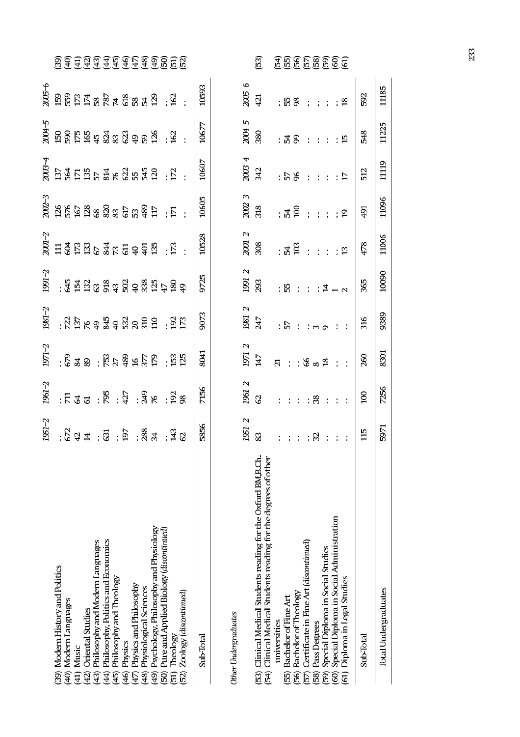|                                                                                                                                                                                                                                                                                       | 1951 2                             | 1961-2                   | $1971 - 2$                              | $1981 - 2$ | $1991 - 2$          |       |       |       |       |       |                                                                                                                                                                                                                                                                                                                                                                 |
|---------------------------------------------------------------------------------------------------------------------------------------------------------------------------------------------------------------------------------------------------------------------------------------|------------------------------------|--------------------------|-----------------------------------------|------------|---------------------|-------|-------|-------|-------|-------|-----------------------------------------------------------------------------------------------------------------------------------------------------------------------------------------------------------------------------------------------------------------------------------------------------------------------------------------------------------------|
|                                                                                                                                                                                                                                                                                       |                                    |                          |                                         |            |                     |       |       |       |       |       |                                                                                                                                                                                                                                                                                                                                                                 |
| (39) Modern History and Politics<br>(40) Modern Languages                                                                                                                                                                                                                             |                                    |                          |                                         |            |                     |       |       |       |       |       |                                                                                                                                                                                                                                                                                                                                                                 |
| Music<br>$\frac{1}{2}$                                                                                                                                                                                                                                                                |                                    |                          |                                         |            |                     |       |       |       |       |       |                                                                                                                                                                                                                                                                                                                                                                 |
|                                                                                                                                                                                                                                                                                       |                                    |                          |                                         |            |                     |       |       |       |       |       |                                                                                                                                                                                                                                                                                                                                                                 |
| Philosophy and Modern Languages<br>(42) Oriental Studies<br>(43) Philosophy and Modern Lan<br>(44) Philosophy, Politics and Eco<br>(45) Philosophy and Theology<br>(46) Physics and Philosophy<br>(47) Physiological Sciences<br>(48) Physiological Sciences<br>(50) Pure and Applied | : 5231 : 5131 : 5131 : 5131 : 5131 | :545 : 56 : 57 : 58 : 58 |                                         |            | : 34888989898999999 |       |       |       |       |       |                                                                                                                                                                                                                                                                                                                                                                 |
| Philosophy, Politics and Economics                                                                                                                                                                                                                                                    |                                    |                          |                                         |            |                     |       |       |       |       |       |                                                                                                                                                                                                                                                                                                                                                                 |
|                                                                                                                                                                                                                                                                                       |                                    |                          |                                         |            |                     |       |       |       |       |       |                                                                                                                                                                                                                                                                                                                                                                 |
|                                                                                                                                                                                                                                                                                       |                                    |                          |                                         |            |                     |       |       |       |       |       |                                                                                                                                                                                                                                                                                                                                                                 |
|                                                                                                                                                                                                                                                                                       |                                    |                          |                                         |            |                     |       |       |       |       |       |                                                                                                                                                                                                                                                                                                                                                                 |
|                                                                                                                                                                                                                                                                                       |                                    |                          |                                         |            |                     |       |       |       |       |       |                                                                                                                                                                                                                                                                                                                                                                 |
| Psychology, Philosophy and Physiology                                                                                                                                                                                                                                                 |                                    |                          |                                         |            |                     |       |       |       |       |       |                                                                                                                                                                                                                                                                                                                                                                 |
| Pure and Applied Biology (discontinued)                                                                                                                                                                                                                                               |                                    |                          |                                         |            |                     |       |       |       |       |       |                                                                                                                                                                                                                                                                                                                                                                 |
|                                                                                                                                                                                                                                                                                       |                                    |                          |                                         |            |                     |       |       |       |       |       |                                                                                                                                                                                                                                                                                                                                                                 |
| 52) Zoology (discontinued)                                                                                                                                                                                                                                                            |                                    |                          | $: 8$ 3 3 $: 8$ 3 $4$ 5 $5$ $: 8$ 3 $1$ |            |                     |       |       |       |       |       | $\widetilde{\mathfrak{G}}$ $\widehat{\mathfrak{F}}$ $\widehat{\mathfrak{F}}$ $\widehat{\mathfrak{F}}$ $\widehat{\mathfrak{F}}$ $\widehat{\mathfrak{F}}$ $\widehat{\mathfrak{F}}$ $\widehat{\mathfrak{F}}$ $\widehat{\mathfrak{F}}$ $\widehat{\mathfrak{F}}$ $\widehat{\mathfrak{F}}$ $\widehat{\mathfrak{G}}$ $\widehat{\mathfrak{G}}$ $\widehat{\mathfrak{G}}$ |
| Sub-Total                                                                                                                                                                                                                                                                             | 5856                               | 7156                     | 8041                                    | 9073       | 9725                | 10528 | 10605 | 10607 | 10677 | 10593 |                                                                                                                                                                                                                                                                                                                                                                 |

Other Undergraduates

| <b>DUTEL DURET STANDATES</b>                                                                                                |       |                |                         |                |                     |                |                   |                |                |               |                |
|-----------------------------------------------------------------------------------------------------------------------------|-------|----------------|-------------------------|----------------|---------------------|----------------|-------------------|----------------|----------------|---------------|----------------|
|                                                                                                                             | 951-2 | 961.2          | 1971-2                  | 1981 - 2       | $1991 - 2$<br>$293$ | $2001 - 2$     | $2002 - 3$<br>318 | 2003-4         | 2004-5         | 2005-6        |                |
| (53) Clinical Medical Students reading for the Oxford BM,B.Ch.                                                              |       | $\overline{6}$ | 147                     | 247            |                     | 308            |                   | 342            | 380            | 421           | $\mathbb{S}^2$ |
| (54) Clinical Medical Students reading for the degrees of other<br>universities                                             |       |                | $\overline{\mathbf{z}}$ |                |                     |                |                   |                |                |               |                |
| (55) Bachelor of Fine Art                                                                                                   |       |                | $\ddot{\cdot}$          | $\overline{5}$ | : 55                | : 23           | : ង ឪ             | 263:           | : ፚ ଛ          | : 53 %        |                |
| (56) Bachelor of Theology                                                                                                   |       |                |                         |                |                     |                |                   |                |                |               | 36668666       |
| (57) Certificate in Fine Art (discontinued)                                                                                 |       |                | $: \mathcal{C} \times$  |                |                     |                |                   |                |                |               |                |
| (58) Pass Degrees                                                                                                           | 32    | 38             |                         |                |                     |                |                   |                |                |               |                |
|                                                                                                                             |       |                | $\frac{8}{18}$          |                | $\overline{4}$      |                |                   |                |                |               |                |
|                                                                                                                             |       |                |                         |                |                     |                | $\ddot{\cdot}$    |                |                |               |                |
| (59)  Special Diploma in Social Studies<br>(60)  Special Diploma in Social Administration<br>(61)  Diploma in Legal Studies |       |                |                         |                |                     | $\overline{2}$ | ഉ                 | $\overline{D}$ | $\overline{5}$ | $\frac{8}{2}$ |                |
| <b>Sub-Total</b>                                                                                                            |       | $\overline{0}$ | 260                     | 316            | 365                 | 478            | 55                | 512            | 548            | 592           |                |
| Total Undergraduates                                                                                                        | 5971  | 7256           | 8301                    | 9389           | 10090               | 1006           | 11096             | 11119          | 11225          | 11185         |                |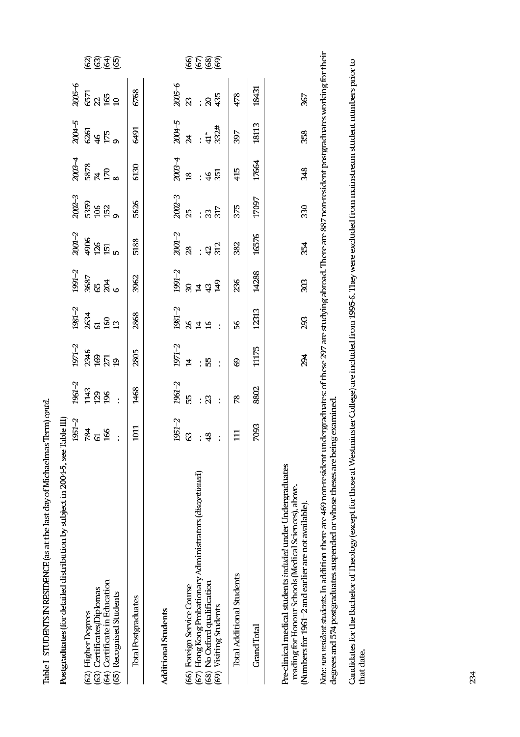| Postgraduates (for detailed distribution by subject in 2004-5, see Table III                                                                                                                                                                         |                |                  |                    |                |                   |                    |                    |                        |                     |                |              |
|------------------------------------------------------------------------------------------------------------------------------------------------------------------------------------------------------------------------------------------------------|----------------|------------------|--------------------|----------------|-------------------|--------------------|--------------------|------------------------|---------------------|----------------|--------------|
|                                                                                                                                                                                                                                                      | $1951 - 2$     | 1961-2           | $1971 - 2$         | $1981 - 2$     | $1991 - 2$        | $2001 - 2$         | $2002 - 3$         | $2003 - 4$             | 2004-5              | $2005 - 6$     |              |
| (62) Higher Degrees                                                                                                                                                                                                                                  | 784            | 1143             |                    |                | 3687<br>65<br>204 |                    |                    |                        |                     |                |              |
| (63) Certificates Diplomas                                                                                                                                                                                                                           | $\mathfrak{L}$ |                  |                    |                |                   |                    |                    |                        |                     |                |              |
| (64) Certificate in Education                                                                                                                                                                                                                        | 166            | $\frac{29}{196}$ | 2346<br>169<br>271 |                |                   | $\frac{4966}{126}$ | 5359<br>106<br>152 | $5878$<br>$770$<br>$8$ | 68<br>4 F<br>9<br>9 | ទេ<br>និង និ ទ |              |
| (65) Recognised Students                                                                                                                                                                                                                             |                |                  | $\overline{1}$     |                |                   | in,                |                    |                        |                     |                | <u> TEFE</u> |
| <b>Total Postgraduates</b>                                                                                                                                                                                                                           | 1011           | 1468             | 2805               | 2868           | 3962              | 5188               | 5626               | 6130                   | 6491                | 6768           |              |
| <b>Additional Students</b>                                                                                                                                                                                                                           |                |                  |                    |                |                   |                    |                    |                        |                     |                |              |
|                                                                                                                                                                                                                                                      | $1951 - 2$     | $1961 - 2$       | 1971-2             | $1981 - 2$     | $1991 - 2$        | $2001 - 2$         | $2002 - 3$         | $2003 - 4$             | 2004-5              | $2005 - 6$     |              |
| (66) Foreign Service Course                                                                                                                                                                                                                          | 3              | 55               | $\overline{4}$     |                |                   | 28                 | 25                 | $\frac{8}{10}$         | 24                  | $\mathbb{S}^2$ |              |
| (67) Hong Kong Probationary Administrators (discontinued)                                                                                                                                                                                            |                |                  |                    | 348            | 284               |                    |                    |                        |                     |                |              |
| (68) No Oxford qualification                                                                                                                                                                                                                         | 48             | : ສ              |                    |                | 43                | 42                 | 33                 | $\frac{4}{6}$          |                     | $\mathbf{S}$   |              |
| (69) Visiting Students                                                                                                                                                                                                                               |                | $\ddot{\cdot}$   | $\ddot{\cdot}$     | $\ddot{\cdot}$ | 149               | 312                | 317                | 351                    | 332#                | 435            |              |
| Total Additional Students                                                                                                                                                                                                                            | $\Xi$          | 78               | S9                 | 56             | 236               | 382                | 375                | 415                    | 397                 | 478            |              |
| Grand Total                                                                                                                                                                                                                                          | 7093           | 8802             | 11175              | 12313          | 14288             | 16576              | 17097              | 17664                  | 18113               | 18431          |              |
| Pre-clinical medical students included under Undergraduates<br>reading for Honour Schools (Medical Sciences), above.<br>(Numbers for 1961–2 and earlier are not available).                                                                          |                |                  | 294                | 293            | 303               | 354                | 330                | 348                    | 358                 | 367            |              |
| Note: non-resident students. In addition there are 469 non-resident undergraduates: of these 297 are studying abroad. There are 887 non-resident postgraduates working for their<br>degrees and 574 postgraduates suspended or whose theses are beir | 1g examined    |                  |                    |                |                   |                    |                    |                        |                     |                |              |

Table I STUDENTS IN RESIDENCE (as at the last day of Michaelmas Term) contd.

Candidates for the Bachelor of Theology (except for those at Westminster College) are included from 1995-6. They were excluded from mainstream student numbers prior to<br>that date.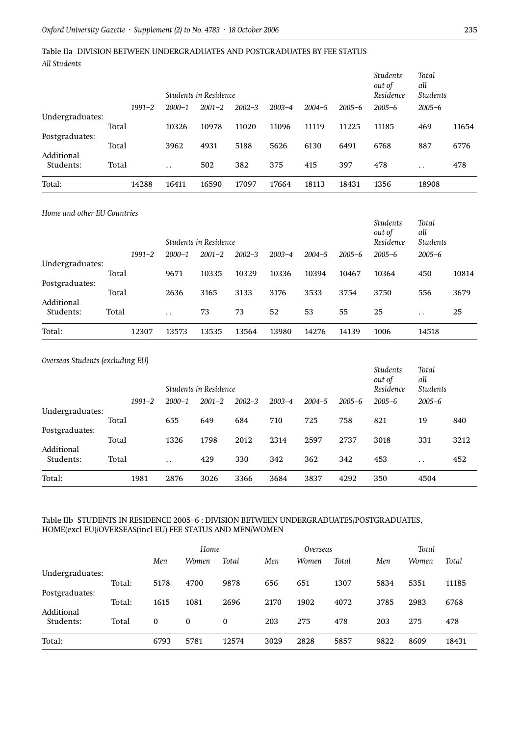### Table IIa DIVISION BETWEEN UNDERGRADUATES AND POSTGRADUATES BY FEE STATUS *All Students*

|                 |            |            | Students in Residence |            |            |            |            | <b>Students</b><br>out of<br>Residence | Total<br>all<br>Students |       |
|-----------------|------------|------------|-----------------------|------------|------------|------------|------------|----------------------------------------|--------------------------|-------|
|                 | $1991 - 2$ | $2000 - 1$ | $2001 - 2$            | $2002 - 3$ | $2003 - 4$ | $2004 - 5$ | $2005 - 6$ | $2005 - 6$                             | $2005 - 6$               |       |
| Undergraduates: | Total      | 10326      | 10978                 | 11020      | 11096      | 11119      | 11225      | 11185                                  | 469                      | 11654 |
| Postgraduates:  | Total      | 3962       | 4931                  | 5188       | 5626       | 6130       | 6491       | 6768                                   | 887                      | 6776  |
| Additional      |            |            |                       |            |            |            |            |                                        |                          |       |
| Students:       | Total      | $\cdot$ .  | 502                   | 382        | 375        | 415        | 397        | 478                                    | $\cdot$ .                | 478   |
| Total:          | 14288      | 16411      | 16590                 | 17097      | 17664      | 18113      | 18431      | 1356                                   | 18908                    |       |

#### *Home and other EU Countries*

|                 |       |            |                      | Students in Residence |            |            |            |            | <b>Students</b><br>out of<br>Residence | Total<br>all<br><b>Students</b> |       |
|-----------------|-------|------------|----------------------|-----------------------|------------|------------|------------|------------|----------------------------------------|---------------------------------|-------|
|                 |       | $1991 - 2$ | $2000 - 1$           | $2001 - 2$            | $2002 - 3$ | $2003 - 4$ | $2004 - 5$ | $2005 - 6$ | $2005 - 6$                             | $2005 - 6$                      |       |
| Undergraduates: |       |            |                      |                       |            |            |            |            |                                        |                                 |       |
|                 | Total |            | 9671                 | 10335                 | 10329      | 10336      | 10394      | 10467      | 10364                                  | 450                             | 10814 |
| Postgraduates:  |       |            |                      |                       |            |            |            |            |                                        |                                 |       |
|                 | Total |            | 2636                 | 3165                  | 3133       | 3176       | 3533       | 3754       | 3750                                   | 556                             | 3679  |
| Additional      |       |            |                      |                       |            |            |            |            |                                        |                                 |       |
| Students:       | Total |            | $\ddot{\phantom{0}}$ | 73                    | 73         | 52         | 53         | 55         | 25                                     | $\cdot$ .                       | 25    |
| Total:          |       | 12307      | 13573                | 13535                 | 13564      | 13980      | 14276      | 14139      | 1006                                   | 14518                           |       |

| Overseas Students (excluding EU) |            |                      | Students in Residence |            |            |            |            | <b>Students</b><br>out of<br>Residence | Total<br>all<br>Students |      |
|----------------------------------|------------|----------------------|-----------------------|------------|------------|------------|------------|----------------------------------------|--------------------------|------|
|                                  | $1991 - 2$ | $2000 - 1$           | $2001 - 2$            | $2002 - 3$ | $2003 - 4$ | $2004 - 5$ | $2005 - 6$ | $2005 - 6$                             | $2005 - 6$               |      |
| Undergraduates:                  |            |                      |                       |            |            |            |            |                                        |                          |      |
|                                  | Total      | 655                  | 649                   | 684        | 710        | 725        | 758        | 821                                    | 19                       | 840  |
| Postgraduates:                   |            |                      |                       |            |            |            |            |                                        |                          |      |
|                                  | Total      | 1326                 | 1798                  | 2012       | 2314       | 2597       | 2737       | 3018                                   | 331                      | 3212 |
| Additional<br>Students:          | Total      | $\ddot{\phantom{0}}$ | 429                   | 330        | 342        | 362        | 342        | 453                                    | . .                      | 452  |
| Total:                           | 1981       | 2876                 | 3026                  | 3366       | 3684       | 3837       | 4292       | 350                                    | 4504                     |      |

#### Table IIb STUDENTS IN RESIDENCE 2005–6 : DIVISION BETWEEN UNDERGRADUATES/POSTGRADUATES, HOME(excl EU)/OVERSEAS(incl EU) FEE STATUS AND MEN/WOMEN

|                                   |        |          | Home  |       |      | Overseas |       |      | Total |       |
|-----------------------------------|--------|----------|-------|-------|------|----------|-------|------|-------|-------|
|                                   |        | Men      | Women | Total | Men  | Women    | Total | Men  | Women | Total |
| Undergraduates:<br>Postgraduates: | Total: | 5178     | 4700  | 9878  | 656  | 651      | 1307  | 5834 | 5351  | 11185 |
| Additional                        | Total: | 1615     | 1081  | 2696  | 2170 | 1902     | 4072  | 3785 | 2983  | 6768  |
| Students:                         | Total  | $\bf{0}$ | 0     | 0     | 203  | 275      | 478   | 203  | 275   | 478   |
| Total:                            |        | 6793     | 5781  | 12574 | 3029 | 2828     | 5857  | 9822 | 8609  | 18431 |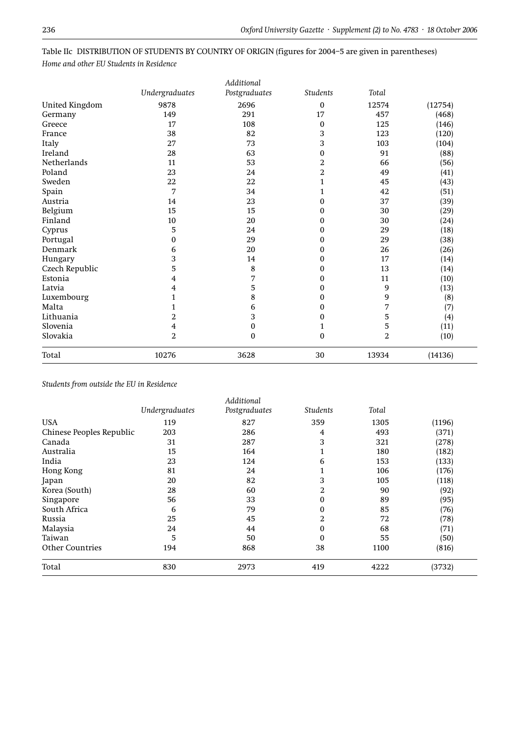|                       |                         | Additional    |                 |                |         |
|-----------------------|-------------------------|---------------|-----------------|----------------|---------|
|                       | Undergraduates          | Postgraduates | <b>Students</b> | Total          |         |
| <b>United Kingdom</b> | 9878                    | 2696          | 0               | 12574          | (12754) |
| Germany               | 149                     | 291           | 17              | 457            | (468)   |
| Greece                | 17                      | 108           | 0               | 125            | (146)   |
| France                | 38                      | 82            | 3               | 123            | (120)   |
| Italy                 | 27                      | 73            | 3               | 103            | (104)   |
| Ireland               | 28                      | 63            | 0               | 91             | (88)    |
| Netherlands           | 11                      | 53            | 2               | 66             | (56)    |
| Poland                | 23                      | 24            | $\overline{2}$  | 49             | (41)    |
| Sweden                | 22                      | 22            | $\mathbf 1$     | 45             | (43)    |
| Spain                 | 7                       | 34            | $\mathbf{1}$    | 42             | (51)    |
| Austria               | 14                      | 23            | 0               | 37             | (39)    |
| Belgium               | 15                      | 15            | 0               | 30             | (29)    |
| Finland               | 10                      | 20            | 0               | 30             | (24)    |
| Cyprus                | 5                       | 24            | 0               | 29             | (18)    |
| Portugal              | $\mathbf{0}$            | 29            | 0               | 29             | (38)    |
| Denmark               | 6                       | 20            | 0               | 26             | (26)    |
| Hungary               | 3                       | 14            | 0               | 17             | (14)    |
| Czech Republic        | 5                       | $\bf 8$       | 0               | 13             | (14)    |
| Estonia               | 4                       | 7             | 0               | 11             | (10)    |
| Latvia                | $\overline{\mathbf{4}}$ | 5             | 0               | 9              | (13)    |
| Luxembourg            | 1                       | 8             | 0               | 9              | (8)     |
| Malta                 | $\mathbf{1}$            | 6             | 0               | 7              | (7)     |
| Lithuania             | 2                       | 3             | 0               | 5              | (4)     |
| Slovenia              | $\overline{\mathbf{4}}$ | $\pmb{0}$     | $\mathbf 1$     | 5              | (11)    |
| Slovakia              | $\boldsymbol{2}$        | $\pmb{0}$     | 0               | $\overline{2}$ | (10)    |
| Total                 | 10276                   | 3628          | 30              | 13934          | (14136) |

Table IIc DISTRIBUTION OF STUDENTS BY COUNTRY OF ORIGIN (figures for 2004–5 are given in parentheses) *Home and other EU Students in Residence*

#### *Students from outside the EU in Residence*

|                          | Undergraduates | Additional<br>Postgraduates | <b>Students</b> | Total |        |
|--------------------------|----------------|-----------------------------|-----------------|-------|--------|
| <b>USA</b>               | 119            | 827                         | 359             | 1305  | (1196) |
| Chinese Peoples Republic | 203            | 286                         | $\overline{4}$  | 493   | (371)  |
| Canada                   | 31             | 287                         | 3               | 321   | (278)  |
| Australia                | 15             | 164                         | 1               | 180   | (182)  |
| India                    | 23             | 124                         | 6               | 153   | (133)  |
| Hong Kong                | 81             | 24                          | 1               | 106   | (176)  |
| Japan                    | 20             | 82                          | 3               | 105   | (118)  |
| Korea (South)            | 28             | 60                          | 2               | 90    | (92)   |
| Singapore                | 56             | 33                          | $\mathbf{0}$    | 89    | (95)   |
| South Africa             | 6              | 79                          | $\mathbf{0}$    | 85    | (76)   |
| Russia                   | 25             | 45                          | 2               | 72    | (78)   |
| Malaysia                 | 24             | 44                          | $\mathbf{0}$    | 68    | (71)   |
| Taiwan                   | 5              | 50                          | $\mathbf{0}$    | 55    | (50)   |
| <b>Other Countries</b>   | 194            | 868                         | 38              | 1100  | (816)  |
| Total                    | 830            | 2973                        | 419             | 4222  | (3732) |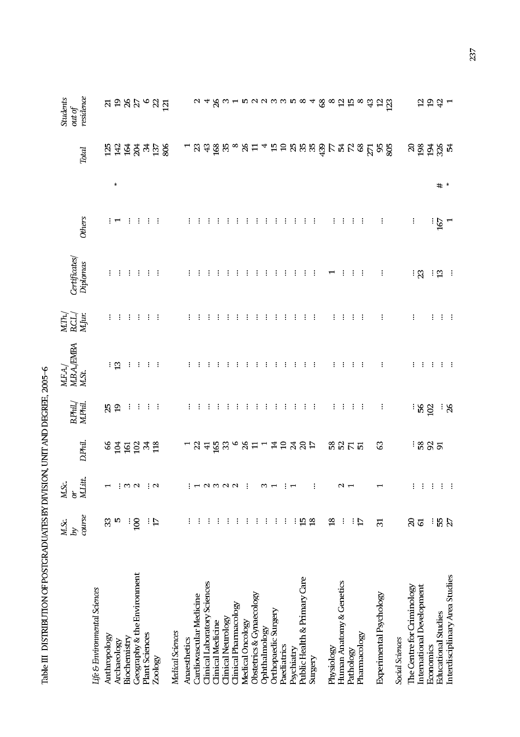|                                | course<br>M.Sc.<br>rq | M.Litt.<br>M.Sc.<br>$\delta$ | D.Phil.              | B.Phil./<br>M.Phil. | $\begin{array}{l} \text{MFA}/\\ \text{MBA/EMBA}\\ \text{MSt.} \end{array}$ | $\begin{array}{l} \hbox{MTh}_{\star} \\ \hbox{B.L}_{\star} \\ \hbox{MJur.} \end{array}$ | Certificates/<br>Diplomas | <b>Others</b> |     | Total                                    | residence<br><b>Students</b><br>out of |
|--------------------------------|-----------------------|------------------------------|----------------------|---------------------|----------------------------------------------------------------------------|-----------------------------------------------------------------------------------------|---------------------------|---------------|-----|------------------------------------------|----------------------------------------|
| Life & Environmental Sciences  |                       |                              |                      |                     |                                                                            |                                                                                         |                           |               |     |                                          |                                        |
| Anthropology                   | 33                    | $\mathbf{\overline{u}}$      |                      |                     |                                                                            |                                                                                         |                           |               |     |                                          |                                        |
| Archaeology                    | Ю                     |                              | <u>ន្តមី ទី ទី ន</u> | 25                  | : ಇ                                                                        |                                                                                         |                           |               | ⋇   |                                          |                                        |
| Biochemistry                   | ÷                     | $: \infty$                   |                      | ÷                   | $\vdots$                                                                   |                                                                                         |                           |               |     |                                          |                                        |
| Geography & the Environment    | 100                   |                              |                      | $\vdots$            |                                                                            |                                                                                         |                           |               |     |                                          |                                        |
| Plant Sciences                 |                       |                              |                      | $\cdot$ :           |                                                                            |                                                                                         |                           |               |     |                                          |                                        |
| Zoology                        | $\frac{1}{2}$         | $\vdots$ $\sim$              |                      |                     |                                                                            |                                                                                         |                           |               |     | 5252358                                  | <b>ដ</b> ៦ ន ង ១ ន ដ                   |
| Medical Sciences               |                       |                              |                      |                     |                                                                            |                                                                                         |                           |               |     |                                          |                                        |
|                                |                       |                              |                      |                     |                                                                            |                                                                                         |                           |               |     |                                          |                                        |
| Anaesthetics                   |                       |                              |                      |                     |                                                                            |                                                                                         |                           |               |     |                                          |                                        |
| Cardiovascular Medicine        |                       |                              |                      |                     |                                                                            |                                                                                         |                           |               |     |                                          |                                        |
| Clinical Laboratory Sciences   |                       |                              |                      |                     |                                                                            |                                                                                         |                           |               |     |                                          |                                        |
| <b>Clinical Medicine</b>       |                       |                              |                      |                     |                                                                            |                                                                                         |                           |               |     |                                          | 48                                     |
| Clinical Neurology             |                       |                              |                      |                     |                                                                            |                                                                                         |                           |               |     | <u>ន ង នី ន</u>                          |                                        |
| Clinical Pharmacology          |                       | $: -100000$                  |                      |                     |                                                                            |                                                                                         |                           |               |     |                                          |                                        |
| Medical Oncology               |                       | $\vdots$                     |                      |                     |                                                                            |                                                                                         |                           |               |     |                                          |                                        |
| Obstetrics & Gynaecology       |                       |                              | $-3758 - 87$         |                     |                                                                            |                                                                                         |                           |               |     | $\degree$ $\%$ $\Xi$                     |                                        |
| Ophthalmology                  |                       | $\frac{1}{2}$                |                      |                     |                                                                            |                                                                                         |                           |               |     |                                          |                                        |
| Orthopaedic Surgery            |                       |                              |                      |                     |                                                                            |                                                                                         |                           |               |     |                                          |                                        |
| Paediatrics                    |                       |                              |                      |                     |                                                                            |                                                                                         |                           |               |     |                                          |                                        |
| Psychiatry                     |                       | $\vdots$                     |                      |                     |                                                                            |                                                                                         |                           |               |     |                                          |                                        |
| Public Health & Primary Care   | $15 \text{ }^{\circ}$ |                              | <b>THARAP</b>        |                     |                                                                            |                                                                                         |                           |               |     |                                          |                                        |
| Surgery                        |                       | $\vdots$                     |                      |                     |                                                                            |                                                                                         |                           |               |     |                                          |                                        |
|                                |                       |                              |                      |                     |                                                                            |                                                                                         |                           |               |     | 459888958828282                          |                                        |
| Physiology                     | $\frac{8}{10}$        |                              | និន្តដ               |                     |                                                                            |                                                                                         |                           |               |     |                                          |                                        |
| Human Anatomy & Genetics       | ፡                     | $\sim$ $\sim$                |                      |                     |                                                                            |                                                                                         |                           |               |     |                                          |                                        |
| Pathology                      |                       |                              |                      |                     |                                                                            |                                                                                         |                           |               |     |                                          |                                        |
| Pharmacology                   | $\vdots$ $\Xi$        |                              |                      |                     |                                                                            |                                                                                         |                           |               |     |                                          |                                        |
|                                |                       |                              |                      |                     |                                                                            |                                                                                         |                           |               |     |                                          | $\frac{3}{4}$                          |
| Experimental Psychology        | $\overline{5}$        | $\overline{\phantom{0}}$     | ය                    |                     |                                                                            |                                                                                         |                           |               |     |                                          |                                        |
|                                |                       |                              |                      |                     |                                                                            |                                                                                         |                           |               |     |                                          | $\frac{12}{12}$                        |
| Social Sciences                |                       |                              |                      |                     |                                                                            |                                                                                         |                           |               |     |                                          |                                        |
| The Centre for Criminology     | $\Omega$              | ŧ,                           |                      |                     |                                                                            |                                                                                         |                           | $\vdots$      |     | $\begin{array}{c} 20 \\ 198 \end{array}$ |                                        |
| International Development      | $\overline{6}$        | $\cdot$                      | ÷ ಜ ន ត              | $\frac{1}{56}$      |                                                                            |                                                                                         | ់ ន                       |               |     |                                          | $\mathbf{r}$                           |
| Economics                      | ፡                     | $\cdot$                      |                      |                     |                                                                            |                                                                                         | ÷                         |               |     |                                          | $\overline{5}$                         |
| <b>Educational Studies</b>     | 55<br>27              | $\ddot{\cdot}$               |                      | း ဗ                 | ÷                                                                          |                                                                                         | $\boldsymbol{\Xi}$        | 167           | # * | $\frac{1}{2}$ ន័ ង្គ                     | (국 그                                   |
| Interdisciplinary Area Studies |                       | $\ddot{\cdot}$               |                      |                     |                                                                            |                                                                                         |                           |               |     |                                          |                                        |

Table III DISTRIBUTION OF POSTGRADUATES BY DIVISION, UNIT AND DEGREE, 2005-6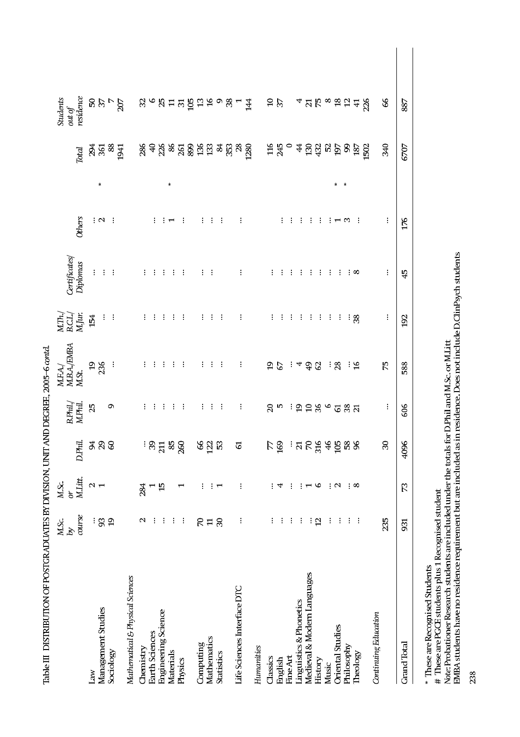|                                  | M.Sc.<br>$\mathscr{A}$ | M.Sc.<br>or                                                                 |                   | B.Phil./<br>M.Phil. | M.F.A./<br>M.B.A./EMBA<br>M.St. | $\underset{\text{MJur.}}{\text{MTh}}$ | Certificates/ |             |   |                                                                       | Students<br>out of                                                                    |  |
|----------------------------------|------------------------|-----------------------------------------------------------------------------|-------------------|---------------------|---------------------------------|---------------------------------------|---------------|-------------|---|-----------------------------------------------------------------------|---------------------------------------------------------------------------------------|--|
|                                  | course                 | M.Litt.                                                                     | D.Phil.           |                     |                                 |                                       | Diplomas      | Others      |   | <b>Total</b>                                                          | residence                                                                             |  |
| Law                              | $\vdots$               | $\sim$ $\sim$                                                               |                   | 25                  | $\frac{25}{2}$                  | 154                                   |               |             |   | $\frac{1}{2}$ $\frac{1}{2}$ $\frac{1}{2}$ $\frac{1}{2}$ $\frac{1}{2}$ |                                                                                       |  |
| Management Studies               | 93                     |                                                                             | <b>RB</b>         |                     |                                 |                                       |               | $: \, \sim$ | 米 |                                                                       |                                                                                       |  |
| Sociology                        | $\overline{1}$         |                                                                             |                   | Ō                   | $\ddot{\cdot}$                  |                                       |               |             |   |                                                                       | 827                                                                                   |  |
| Mathematical & Physical Sciences |                        |                                                                             |                   |                     |                                 |                                       |               |             |   | 1941                                                                  | 207                                                                                   |  |
| <b>Themistry</b>                 | $\mathbf{\sim}$        | 284                                                                         |                   |                     |                                 |                                       |               |             |   |                                                                       |                                                                                       |  |
| Earth Sciences                   | ÷                      |                                                                             |                   |                     |                                 |                                       |               | ÷           |   |                                                                       |                                                                                       |  |
| <b>Engineering Science</b>       | ÷                      | $\overline{15}$                                                             |                   |                     |                                 |                                       |               |             |   | <u>ង ទង ន</u> ន ន ន ន ន ន ន ន ន ន ន                                   | $\omega$ 6 $\omega$ = $\omega$ 5 $\omega$ 5 $\omega$ 6 $\omega$ 6 $\omega$ 6 $\omega$ |  |
| Materials                        | $\vdots$               |                                                                             |                   |                     |                                 |                                       |               |             | 米 |                                                                       |                                                                                       |  |
| Physics                          | $\vdots$               |                                                                             |                   |                     |                                 |                                       |               |             |   |                                                                       |                                                                                       |  |
|                                  |                        |                                                                             |                   |                     |                                 |                                       |               |             |   |                                                                       |                                                                                       |  |
| Computing                        | $\mathcal{L}$          | $\vdots$                                                                    | <u>នន្</u> នា     |                     |                                 |                                       |               | ፡           |   |                                                                       |                                                                                       |  |
| Mathematics                      | $\mathbf{H}$           | ÷                                                                           |                   |                     |                                 |                                       |               |             |   |                                                                       |                                                                                       |  |
| <b>Statistics</b>                | $\mathcal{S}$          | $\mathbf{\overline{u}}$                                                     |                   |                     |                                 |                                       |               |             |   |                                                                       |                                                                                       |  |
|                                  |                        |                                                                             |                   |                     |                                 |                                       |               |             |   |                                                                       |                                                                                       |  |
| Life Sciences Interface DTC      | $\vdots$               | $\vdots$                                                                    | 61                |                     |                                 |                                       | $\vdots$      |             |   |                                                                       |                                                                                       |  |
|                                  |                        |                                                                             |                   |                     |                                 |                                       |               |             |   |                                                                       |                                                                                       |  |
| Humanities                       |                        |                                                                             |                   |                     |                                 |                                       |               |             |   |                                                                       |                                                                                       |  |
| Classics                         | ፡                      | ፡                                                                           |                   | 20p                 | $\frac{2}{6}$                   |                                       |               |             |   |                                                                       |                                                                                       |  |
| English                          | ÷                      | 4                                                                           | <b>PS1</b>        |                     |                                 |                                       |               |             |   | $\frac{116}{245}$                                                     | $\frac{5}{2}$                                                                         |  |
| Fine Art                         | $\ddot{\cdot}$         | ÷                                                                           |                   | ÷                   |                                 |                                       |               |             |   | $\circ$                                                               |                                                                                       |  |
| Linguistics & Phonetics          | ÷                      | ÷                                                                           |                   |                     | 4                               |                                       |               |             |   | $\frac{4}{3}$                                                         |                                                                                       |  |
| Medieval & Modern Languages      | $\vdots$               | $\mathbf{\mathbf{\mathbf{\mathbf{\mathbf{\mathbf{\mathbf{\mathbf{H}}}}}}}}$ |                   | 9986                | $\frac{9}{4}$                   |                                       |               |             |   | $130$<br>$432$                                                        |                                                                                       |  |
| History                          | 12                     | G                                                                           |                   |                     | $\mathcal{S}^2$                 |                                       |               |             |   |                                                                       |                                                                                       |  |
| Music                            | ፡                      | $\vdots$                                                                    |                   |                     |                                 |                                       |               |             |   | 52                                                                    |                                                                                       |  |
| <b>Oriental Studies</b>          | $\vdots$               | $\sim$                                                                      |                   |                     | : ଅ                             |                                       |               |             |   | 197                                                                   |                                                                                       |  |
| Philosophy                       | $\vdots$               |                                                                             |                   |                     |                                 |                                       |               | S           |   | இ                                                                     |                                                                                       |  |
| Theology                         | $\ddot{\cdot}$         | ∶∞                                                                          |                   |                     | ي :<br>پ                        |                                       | $\infty$      |             |   |                                                                       | <sup>ব</sup> ៑р ∞ ឨ ฐ ∄                                                               |  |
|                                  |                        |                                                                             |                   |                     |                                 |                                       |               |             |   | $187$<br>1502                                                         | 226                                                                                   |  |
| Continuing Education             |                        |                                                                             |                   |                     |                                 |                                       |               |             |   |                                                                       |                                                                                       |  |
|                                  | 235                    |                                                                             | $\boldsymbol{30}$ | $\vdots$            | $\overline{7}$                  | $\vdots$                              | $\vdots$      | $\colon$    |   | 340                                                                   | $8^{\circ}$                                                                           |  |
| <b>Grand Total</b>               | 931                    | $\mathbb{Z}^2$                                                              | 4096              | 806                 | 588                             | 192                                   | 45            | 176         |   | 6707                                                                  | 887                                                                                   |  |
|                                  |                        |                                                                             |                   |                     |                                 |                                       |               |             |   |                                                                       |                                                                                       |  |

Table III DISTRIBUTION OF POSTGRADUATES BY DIVISION, UNIT AND DEGREE, 2005-6 contd.

\* These are Recognised Students<br># These are PGCE students plus 1 Recognised student<br>*Note:* Probationer Research students are included under the totals for D.Phil and M.Sc. or M.Litt<br>EMBA students have no residence require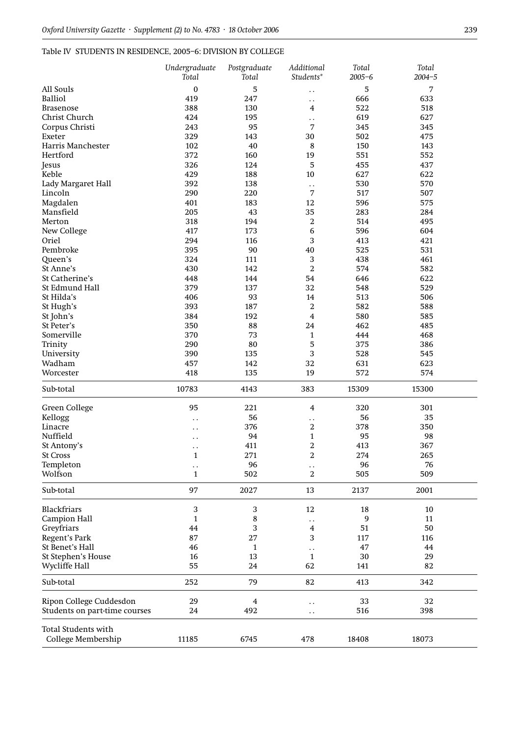## Table IV STUDENTS IN RESIDENCE, 2005–6: DIVISION BY COLLEGE

| 5<br>All Souls<br>$\mathbf{0}$<br>5<br>7<br>$\ddot{\phantom{0}}$<br><b>Balliol</b><br>419<br>633<br>247<br>666<br>$\ddot{\phantom{0}}$<br>388<br>522<br>518<br><b>Brasenose</b><br>130<br>4<br>627<br>Christ Church<br>424<br>619<br>195<br>$\ddot{\phantom{0}}$<br>Corpus Christi<br>243<br>95<br>7<br>345<br>345<br>329<br>502<br>Exeter<br>143<br>30<br>475<br>Harris Manchester<br>102<br>8<br>150<br>143<br>40<br>552<br>Hertford<br>372<br>160<br>19<br>551<br>437<br>326<br>5<br>455<br>124<br>Jesus<br>Keble<br>429<br>10<br>627<br>622<br>188<br>570<br>392<br>530<br>Lady Margaret Hall<br>138<br>$\ddot{\phantom{0}}$<br>Lincoln<br>290<br>220<br>7<br>517<br>507<br>Magdalen<br>401<br>12<br>596<br>575<br>183<br>205<br>43<br>35<br>283<br>284<br>Mansfield<br>318<br>194<br>2<br>514<br>495<br>Merton<br>596<br>604<br>417<br>173<br>6<br>New College<br>294<br>3<br>421<br>Oriel<br>116<br>413<br>395<br>Pembroke<br>90<br>40<br>525<br>531<br>324<br>3<br>438<br>461<br>Queen's<br>111<br>$\overline{2}$<br>574<br>582<br>St Anne's<br>430<br>142<br>622<br>St Catherine's<br>448<br>54<br>646<br>144<br>529<br>St Edmund Hall<br>379<br>137<br>32<br>548<br>506<br>St Hilda's<br>406<br>93<br>513<br>14<br>393<br>$\overline{2}$<br>582<br>588<br>St Hugh's<br>187<br>St John's<br>384<br>$\overline{4}$<br>580<br>585<br>192<br>485<br>St Peter's<br>350<br>88<br>24<br>462<br>370<br>73<br>468<br>Somerville<br>$\mathbf{1}$<br>444<br>290<br>5<br>Trinity<br>80<br>375<br>386<br>3<br>University<br>390<br>135<br>528<br>545<br>623<br>Wadham<br>457<br>142<br>32<br>631<br>418<br>135<br>19<br>572<br>574<br>Worcester<br>10783<br>4143<br>383<br>15309<br>15300<br>Sub-total<br>Green College<br>221<br>320<br>301<br>95<br>$\overline{4}$<br>Kellogg<br>56<br>56<br>35<br>$\ddot{\phantom{0}}$<br>. .<br>376<br>$\overline{2}$<br>378<br>350<br>Linacre<br>. .<br>Nuffield<br>94<br>95<br>98<br>$\mathbf{1}$<br>. .<br>2<br>413<br>367<br>411<br>St Antony's<br>. .<br><b>St Cross</b><br>1<br>271<br>2<br>274<br>265<br>Templeton<br>96<br>96<br>76<br>$\ddot{\phantom{0}}$<br>. .<br>Wolfson<br>502<br>2<br>505<br>509<br>$\mathbf{1}$<br>Sub-total<br>97<br>13<br>2027<br>2137<br>2001<br>Blackfriars<br>3<br>3<br>12<br>18<br>10<br><b>Campion Hall</b><br>$\mathbf{1}$<br>8<br>9<br>11<br>. .<br>Greyfriars<br>3<br>50<br>44<br>$\overline{\mathbf{4}}$<br>51<br>3<br>Regent's Park<br>87<br>27<br>117<br>116<br>St Benet's Hall<br>46<br>47<br>$\mathbf{1}$<br>44<br>$\ddot{\phantom{0}}$<br>St Stephen's House<br>16<br>13<br>30<br>29<br>$\mathbf{1}$<br>82<br>Wycliffe Hall<br>55<br>24<br>62<br>141<br>Sub-total<br>252<br>79<br>82<br>342<br>413<br>Ripon College Cuddesdon<br>29<br>33<br>32<br>4<br>$\ddot{\phantom{0}}$<br>Students on part-time courses<br>24<br>492<br>516<br>398<br>$\ddot{\phantom{0}}$<br><b>Total Students with</b><br>College Membership<br>11185<br>6745<br>478<br>18408<br>18073 | Undergraduate<br>Total | Postgraduate<br>Total | Additional<br>Students* | Total<br>$2005 - 6$ | Total<br>$2004 - 5$ |
|------------------------------------------------------------------------------------------------------------------------------------------------------------------------------------------------------------------------------------------------------------------------------------------------------------------------------------------------------------------------------------------------------------------------------------------------------------------------------------------------------------------------------------------------------------------------------------------------------------------------------------------------------------------------------------------------------------------------------------------------------------------------------------------------------------------------------------------------------------------------------------------------------------------------------------------------------------------------------------------------------------------------------------------------------------------------------------------------------------------------------------------------------------------------------------------------------------------------------------------------------------------------------------------------------------------------------------------------------------------------------------------------------------------------------------------------------------------------------------------------------------------------------------------------------------------------------------------------------------------------------------------------------------------------------------------------------------------------------------------------------------------------------------------------------------------------------------------------------------------------------------------------------------------------------------------------------------------------------------------------------------------------------------------------------------------------------------------------------------------------------------------------------------------------------------------------------------------------------------------------------------------------------------------------------------------------------------------------------------------------------------------------------------------------------------------------------------------------------------------------------------------------------------------------------------------------------------------------------------------------------------------------------------------------------------------------------------------------------------------------------------------------------------------------------------------------------------------------------------------------------------------------------------------------------------------------|------------------------|-----------------------|-------------------------|---------------------|---------------------|
|                                                                                                                                                                                                                                                                                                                                                                                                                                                                                                                                                                                                                                                                                                                                                                                                                                                                                                                                                                                                                                                                                                                                                                                                                                                                                                                                                                                                                                                                                                                                                                                                                                                                                                                                                                                                                                                                                                                                                                                                                                                                                                                                                                                                                                                                                                                                                                                                                                                                                                                                                                                                                                                                                                                                                                                                                                                                                                                                                |                        |                       |                         |                     |                     |
|                                                                                                                                                                                                                                                                                                                                                                                                                                                                                                                                                                                                                                                                                                                                                                                                                                                                                                                                                                                                                                                                                                                                                                                                                                                                                                                                                                                                                                                                                                                                                                                                                                                                                                                                                                                                                                                                                                                                                                                                                                                                                                                                                                                                                                                                                                                                                                                                                                                                                                                                                                                                                                                                                                                                                                                                                                                                                                                                                |                        |                       |                         |                     |                     |
|                                                                                                                                                                                                                                                                                                                                                                                                                                                                                                                                                                                                                                                                                                                                                                                                                                                                                                                                                                                                                                                                                                                                                                                                                                                                                                                                                                                                                                                                                                                                                                                                                                                                                                                                                                                                                                                                                                                                                                                                                                                                                                                                                                                                                                                                                                                                                                                                                                                                                                                                                                                                                                                                                                                                                                                                                                                                                                                                                |                        |                       |                         |                     |                     |
|                                                                                                                                                                                                                                                                                                                                                                                                                                                                                                                                                                                                                                                                                                                                                                                                                                                                                                                                                                                                                                                                                                                                                                                                                                                                                                                                                                                                                                                                                                                                                                                                                                                                                                                                                                                                                                                                                                                                                                                                                                                                                                                                                                                                                                                                                                                                                                                                                                                                                                                                                                                                                                                                                                                                                                                                                                                                                                                                                |                        |                       |                         |                     |                     |
|                                                                                                                                                                                                                                                                                                                                                                                                                                                                                                                                                                                                                                                                                                                                                                                                                                                                                                                                                                                                                                                                                                                                                                                                                                                                                                                                                                                                                                                                                                                                                                                                                                                                                                                                                                                                                                                                                                                                                                                                                                                                                                                                                                                                                                                                                                                                                                                                                                                                                                                                                                                                                                                                                                                                                                                                                                                                                                                                                |                        |                       |                         |                     |                     |
|                                                                                                                                                                                                                                                                                                                                                                                                                                                                                                                                                                                                                                                                                                                                                                                                                                                                                                                                                                                                                                                                                                                                                                                                                                                                                                                                                                                                                                                                                                                                                                                                                                                                                                                                                                                                                                                                                                                                                                                                                                                                                                                                                                                                                                                                                                                                                                                                                                                                                                                                                                                                                                                                                                                                                                                                                                                                                                                                                |                        |                       |                         |                     |                     |
|                                                                                                                                                                                                                                                                                                                                                                                                                                                                                                                                                                                                                                                                                                                                                                                                                                                                                                                                                                                                                                                                                                                                                                                                                                                                                                                                                                                                                                                                                                                                                                                                                                                                                                                                                                                                                                                                                                                                                                                                                                                                                                                                                                                                                                                                                                                                                                                                                                                                                                                                                                                                                                                                                                                                                                                                                                                                                                                                                |                        |                       |                         |                     |                     |
|                                                                                                                                                                                                                                                                                                                                                                                                                                                                                                                                                                                                                                                                                                                                                                                                                                                                                                                                                                                                                                                                                                                                                                                                                                                                                                                                                                                                                                                                                                                                                                                                                                                                                                                                                                                                                                                                                                                                                                                                                                                                                                                                                                                                                                                                                                                                                                                                                                                                                                                                                                                                                                                                                                                                                                                                                                                                                                                                                |                        |                       |                         |                     |                     |
|                                                                                                                                                                                                                                                                                                                                                                                                                                                                                                                                                                                                                                                                                                                                                                                                                                                                                                                                                                                                                                                                                                                                                                                                                                                                                                                                                                                                                                                                                                                                                                                                                                                                                                                                                                                                                                                                                                                                                                                                                                                                                                                                                                                                                                                                                                                                                                                                                                                                                                                                                                                                                                                                                                                                                                                                                                                                                                                                                |                        |                       |                         |                     |                     |
|                                                                                                                                                                                                                                                                                                                                                                                                                                                                                                                                                                                                                                                                                                                                                                                                                                                                                                                                                                                                                                                                                                                                                                                                                                                                                                                                                                                                                                                                                                                                                                                                                                                                                                                                                                                                                                                                                                                                                                                                                                                                                                                                                                                                                                                                                                                                                                                                                                                                                                                                                                                                                                                                                                                                                                                                                                                                                                                                                |                        |                       |                         |                     |                     |
|                                                                                                                                                                                                                                                                                                                                                                                                                                                                                                                                                                                                                                                                                                                                                                                                                                                                                                                                                                                                                                                                                                                                                                                                                                                                                                                                                                                                                                                                                                                                                                                                                                                                                                                                                                                                                                                                                                                                                                                                                                                                                                                                                                                                                                                                                                                                                                                                                                                                                                                                                                                                                                                                                                                                                                                                                                                                                                                                                |                        |                       |                         |                     |                     |
|                                                                                                                                                                                                                                                                                                                                                                                                                                                                                                                                                                                                                                                                                                                                                                                                                                                                                                                                                                                                                                                                                                                                                                                                                                                                                                                                                                                                                                                                                                                                                                                                                                                                                                                                                                                                                                                                                                                                                                                                                                                                                                                                                                                                                                                                                                                                                                                                                                                                                                                                                                                                                                                                                                                                                                                                                                                                                                                                                |                        |                       |                         |                     |                     |
|                                                                                                                                                                                                                                                                                                                                                                                                                                                                                                                                                                                                                                                                                                                                                                                                                                                                                                                                                                                                                                                                                                                                                                                                                                                                                                                                                                                                                                                                                                                                                                                                                                                                                                                                                                                                                                                                                                                                                                                                                                                                                                                                                                                                                                                                                                                                                                                                                                                                                                                                                                                                                                                                                                                                                                                                                                                                                                                                                |                        |                       |                         |                     |                     |
|                                                                                                                                                                                                                                                                                                                                                                                                                                                                                                                                                                                                                                                                                                                                                                                                                                                                                                                                                                                                                                                                                                                                                                                                                                                                                                                                                                                                                                                                                                                                                                                                                                                                                                                                                                                                                                                                                                                                                                                                                                                                                                                                                                                                                                                                                                                                                                                                                                                                                                                                                                                                                                                                                                                                                                                                                                                                                                                                                |                        |                       |                         |                     |                     |
|                                                                                                                                                                                                                                                                                                                                                                                                                                                                                                                                                                                                                                                                                                                                                                                                                                                                                                                                                                                                                                                                                                                                                                                                                                                                                                                                                                                                                                                                                                                                                                                                                                                                                                                                                                                                                                                                                                                                                                                                                                                                                                                                                                                                                                                                                                                                                                                                                                                                                                                                                                                                                                                                                                                                                                                                                                                                                                                                                |                        |                       |                         |                     |                     |
|                                                                                                                                                                                                                                                                                                                                                                                                                                                                                                                                                                                                                                                                                                                                                                                                                                                                                                                                                                                                                                                                                                                                                                                                                                                                                                                                                                                                                                                                                                                                                                                                                                                                                                                                                                                                                                                                                                                                                                                                                                                                                                                                                                                                                                                                                                                                                                                                                                                                                                                                                                                                                                                                                                                                                                                                                                                                                                                                                |                        |                       |                         |                     |                     |
|                                                                                                                                                                                                                                                                                                                                                                                                                                                                                                                                                                                                                                                                                                                                                                                                                                                                                                                                                                                                                                                                                                                                                                                                                                                                                                                                                                                                                                                                                                                                                                                                                                                                                                                                                                                                                                                                                                                                                                                                                                                                                                                                                                                                                                                                                                                                                                                                                                                                                                                                                                                                                                                                                                                                                                                                                                                                                                                                                |                        |                       |                         |                     |                     |
|                                                                                                                                                                                                                                                                                                                                                                                                                                                                                                                                                                                                                                                                                                                                                                                                                                                                                                                                                                                                                                                                                                                                                                                                                                                                                                                                                                                                                                                                                                                                                                                                                                                                                                                                                                                                                                                                                                                                                                                                                                                                                                                                                                                                                                                                                                                                                                                                                                                                                                                                                                                                                                                                                                                                                                                                                                                                                                                                                |                        |                       |                         |                     |                     |
|                                                                                                                                                                                                                                                                                                                                                                                                                                                                                                                                                                                                                                                                                                                                                                                                                                                                                                                                                                                                                                                                                                                                                                                                                                                                                                                                                                                                                                                                                                                                                                                                                                                                                                                                                                                                                                                                                                                                                                                                                                                                                                                                                                                                                                                                                                                                                                                                                                                                                                                                                                                                                                                                                                                                                                                                                                                                                                                                                |                        |                       |                         |                     |                     |
|                                                                                                                                                                                                                                                                                                                                                                                                                                                                                                                                                                                                                                                                                                                                                                                                                                                                                                                                                                                                                                                                                                                                                                                                                                                                                                                                                                                                                                                                                                                                                                                                                                                                                                                                                                                                                                                                                                                                                                                                                                                                                                                                                                                                                                                                                                                                                                                                                                                                                                                                                                                                                                                                                                                                                                                                                                                                                                                                                |                        |                       |                         |                     |                     |
|                                                                                                                                                                                                                                                                                                                                                                                                                                                                                                                                                                                                                                                                                                                                                                                                                                                                                                                                                                                                                                                                                                                                                                                                                                                                                                                                                                                                                                                                                                                                                                                                                                                                                                                                                                                                                                                                                                                                                                                                                                                                                                                                                                                                                                                                                                                                                                                                                                                                                                                                                                                                                                                                                                                                                                                                                                                                                                                                                |                        |                       |                         |                     |                     |
|                                                                                                                                                                                                                                                                                                                                                                                                                                                                                                                                                                                                                                                                                                                                                                                                                                                                                                                                                                                                                                                                                                                                                                                                                                                                                                                                                                                                                                                                                                                                                                                                                                                                                                                                                                                                                                                                                                                                                                                                                                                                                                                                                                                                                                                                                                                                                                                                                                                                                                                                                                                                                                                                                                                                                                                                                                                                                                                                                |                        |                       |                         |                     |                     |
|                                                                                                                                                                                                                                                                                                                                                                                                                                                                                                                                                                                                                                                                                                                                                                                                                                                                                                                                                                                                                                                                                                                                                                                                                                                                                                                                                                                                                                                                                                                                                                                                                                                                                                                                                                                                                                                                                                                                                                                                                                                                                                                                                                                                                                                                                                                                                                                                                                                                                                                                                                                                                                                                                                                                                                                                                                                                                                                                                |                        |                       |                         |                     |                     |
|                                                                                                                                                                                                                                                                                                                                                                                                                                                                                                                                                                                                                                                                                                                                                                                                                                                                                                                                                                                                                                                                                                                                                                                                                                                                                                                                                                                                                                                                                                                                                                                                                                                                                                                                                                                                                                                                                                                                                                                                                                                                                                                                                                                                                                                                                                                                                                                                                                                                                                                                                                                                                                                                                                                                                                                                                                                                                                                                                |                        |                       |                         |                     |                     |
|                                                                                                                                                                                                                                                                                                                                                                                                                                                                                                                                                                                                                                                                                                                                                                                                                                                                                                                                                                                                                                                                                                                                                                                                                                                                                                                                                                                                                                                                                                                                                                                                                                                                                                                                                                                                                                                                                                                                                                                                                                                                                                                                                                                                                                                                                                                                                                                                                                                                                                                                                                                                                                                                                                                                                                                                                                                                                                                                                |                        |                       |                         |                     |                     |
|                                                                                                                                                                                                                                                                                                                                                                                                                                                                                                                                                                                                                                                                                                                                                                                                                                                                                                                                                                                                                                                                                                                                                                                                                                                                                                                                                                                                                                                                                                                                                                                                                                                                                                                                                                                                                                                                                                                                                                                                                                                                                                                                                                                                                                                                                                                                                                                                                                                                                                                                                                                                                                                                                                                                                                                                                                                                                                                                                |                        |                       |                         |                     |                     |
|                                                                                                                                                                                                                                                                                                                                                                                                                                                                                                                                                                                                                                                                                                                                                                                                                                                                                                                                                                                                                                                                                                                                                                                                                                                                                                                                                                                                                                                                                                                                                                                                                                                                                                                                                                                                                                                                                                                                                                                                                                                                                                                                                                                                                                                                                                                                                                                                                                                                                                                                                                                                                                                                                                                                                                                                                                                                                                                                                |                        |                       |                         |                     |                     |
|                                                                                                                                                                                                                                                                                                                                                                                                                                                                                                                                                                                                                                                                                                                                                                                                                                                                                                                                                                                                                                                                                                                                                                                                                                                                                                                                                                                                                                                                                                                                                                                                                                                                                                                                                                                                                                                                                                                                                                                                                                                                                                                                                                                                                                                                                                                                                                                                                                                                                                                                                                                                                                                                                                                                                                                                                                                                                                                                                |                        |                       |                         |                     |                     |
|                                                                                                                                                                                                                                                                                                                                                                                                                                                                                                                                                                                                                                                                                                                                                                                                                                                                                                                                                                                                                                                                                                                                                                                                                                                                                                                                                                                                                                                                                                                                                                                                                                                                                                                                                                                                                                                                                                                                                                                                                                                                                                                                                                                                                                                                                                                                                                                                                                                                                                                                                                                                                                                                                                                                                                                                                                                                                                                                                |                        |                       |                         |                     |                     |
|                                                                                                                                                                                                                                                                                                                                                                                                                                                                                                                                                                                                                                                                                                                                                                                                                                                                                                                                                                                                                                                                                                                                                                                                                                                                                                                                                                                                                                                                                                                                                                                                                                                                                                                                                                                                                                                                                                                                                                                                                                                                                                                                                                                                                                                                                                                                                                                                                                                                                                                                                                                                                                                                                                                                                                                                                                                                                                                                                |                        |                       |                         |                     |                     |
|                                                                                                                                                                                                                                                                                                                                                                                                                                                                                                                                                                                                                                                                                                                                                                                                                                                                                                                                                                                                                                                                                                                                                                                                                                                                                                                                                                                                                                                                                                                                                                                                                                                                                                                                                                                                                                                                                                                                                                                                                                                                                                                                                                                                                                                                                                                                                                                                                                                                                                                                                                                                                                                                                                                                                                                                                                                                                                                                                |                        |                       |                         |                     |                     |
|                                                                                                                                                                                                                                                                                                                                                                                                                                                                                                                                                                                                                                                                                                                                                                                                                                                                                                                                                                                                                                                                                                                                                                                                                                                                                                                                                                                                                                                                                                                                                                                                                                                                                                                                                                                                                                                                                                                                                                                                                                                                                                                                                                                                                                                                                                                                                                                                                                                                                                                                                                                                                                                                                                                                                                                                                                                                                                                                                |                        |                       |                         |                     |                     |
|                                                                                                                                                                                                                                                                                                                                                                                                                                                                                                                                                                                                                                                                                                                                                                                                                                                                                                                                                                                                                                                                                                                                                                                                                                                                                                                                                                                                                                                                                                                                                                                                                                                                                                                                                                                                                                                                                                                                                                                                                                                                                                                                                                                                                                                                                                                                                                                                                                                                                                                                                                                                                                                                                                                                                                                                                                                                                                                                                |                        |                       |                         |                     |                     |
|                                                                                                                                                                                                                                                                                                                                                                                                                                                                                                                                                                                                                                                                                                                                                                                                                                                                                                                                                                                                                                                                                                                                                                                                                                                                                                                                                                                                                                                                                                                                                                                                                                                                                                                                                                                                                                                                                                                                                                                                                                                                                                                                                                                                                                                                                                                                                                                                                                                                                                                                                                                                                                                                                                                                                                                                                                                                                                                                                |                        |                       |                         |                     |                     |
|                                                                                                                                                                                                                                                                                                                                                                                                                                                                                                                                                                                                                                                                                                                                                                                                                                                                                                                                                                                                                                                                                                                                                                                                                                                                                                                                                                                                                                                                                                                                                                                                                                                                                                                                                                                                                                                                                                                                                                                                                                                                                                                                                                                                                                                                                                                                                                                                                                                                                                                                                                                                                                                                                                                                                                                                                                                                                                                                                |                        |                       |                         |                     |                     |
|                                                                                                                                                                                                                                                                                                                                                                                                                                                                                                                                                                                                                                                                                                                                                                                                                                                                                                                                                                                                                                                                                                                                                                                                                                                                                                                                                                                                                                                                                                                                                                                                                                                                                                                                                                                                                                                                                                                                                                                                                                                                                                                                                                                                                                                                                                                                                                                                                                                                                                                                                                                                                                                                                                                                                                                                                                                                                                                                                |                        |                       |                         |                     |                     |
|                                                                                                                                                                                                                                                                                                                                                                                                                                                                                                                                                                                                                                                                                                                                                                                                                                                                                                                                                                                                                                                                                                                                                                                                                                                                                                                                                                                                                                                                                                                                                                                                                                                                                                                                                                                                                                                                                                                                                                                                                                                                                                                                                                                                                                                                                                                                                                                                                                                                                                                                                                                                                                                                                                                                                                                                                                                                                                                                                |                        |                       |                         |                     |                     |
|                                                                                                                                                                                                                                                                                                                                                                                                                                                                                                                                                                                                                                                                                                                                                                                                                                                                                                                                                                                                                                                                                                                                                                                                                                                                                                                                                                                                                                                                                                                                                                                                                                                                                                                                                                                                                                                                                                                                                                                                                                                                                                                                                                                                                                                                                                                                                                                                                                                                                                                                                                                                                                                                                                                                                                                                                                                                                                                                                |                        |                       |                         |                     |                     |
|                                                                                                                                                                                                                                                                                                                                                                                                                                                                                                                                                                                                                                                                                                                                                                                                                                                                                                                                                                                                                                                                                                                                                                                                                                                                                                                                                                                                                                                                                                                                                                                                                                                                                                                                                                                                                                                                                                                                                                                                                                                                                                                                                                                                                                                                                                                                                                                                                                                                                                                                                                                                                                                                                                                                                                                                                                                                                                                                                |                        |                       |                         |                     |                     |
|                                                                                                                                                                                                                                                                                                                                                                                                                                                                                                                                                                                                                                                                                                                                                                                                                                                                                                                                                                                                                                                                                                                                                                                                                                                                                                                                                                                                                                                                                                                                                                                                                                                                                                                                                                                                                                                                                                                                                                                                                                                                                                                                                                                                                                                                                                                                                                                                                                                                                                                                                                                                                                                                                                                                                                                                                                                                                                                                                |                        |                       |                         |                     |                     |
|                                                                                                                                                                                                                                                                                                                                                                                                                                                                                                                                                                                                                                                                                                                                                                                                                                                                                                                                                                                                                                                                                                                                                                                                                                                                                                                                                                                                                                                                                                                                                                                                                                                                                                                                                                                                                                                                                                                                                                                                                                                                                                                                                                                                                                                                                                                                                                                                                                                                                                                                                                                                                                                                                                                                                                                                                                                                                                                                                |                        |                       |                         |                     |                     |
|                                                                                                                                                                                                                                                                                                                                                                                                                                                                                                                                                                                                                                                                                                                                                                                                                                                                                                                                                                                                                                                                                                                                                                                                                                                                                                                                                                                                                                                                                                                                                                                                                                                                                                                                                                                                                                                                                                                                                                                                                                                                                                                                                                                                                                                                                                                                                                                                                                                                                                                                                                                                                                                                                                                                                                                                                                                                                                                                                |                        |                       |                         |                     |                     |
|                                                                                                                                                                                                                                                                                                                                                                                                                                                                                                                                                                                                                                                                                                                                                                                                                                                                                                                                                                                                                                                                                                                                                                                                                                                                                                                                                                                                                                                                                                                                                                                                                                                                                                                                                                                                                                                                                                                                                                                                                                                                                                                                                                                                                                                                                                                                                                                                                                                                                                                                                                                                                                                                                                                                                                                                                                                                                                                                                |                        |                       |                         |                     |                     |
|                                                                                                                                                                                                                                                                                                                                                                                                                                                                                                                                                                                                                                                                                                                                                                                                                                                                                                                                                                                                                                                                                                                                                                                                                                                                                                                                                                                                                                                                                                                                                                                                                                                                                                                                                                                                                                                                                                                                                                                                                                                                                                                                                                                                                                                                                                                                                                                                                                                                                                                                                                                                                                                                                                                                                                                                                                                                                                                                                |                        |                       |                         |                     |                     |
|                                                                                                                                                                                                                                                                                                                                                                                                                                                                                                                                                                                                                                                                                                                                                                                                                                                                                                                                                                                                                                                                                                                                                                                                                                                                                                                                                                                                                                                                                                                                                                                                                                                                                                                                                                                                                                                                                                                                                                                                                                                                                                                                                                                                                                                                                                                                                                                                                                                                                                                                                                                                                                                                                                                                                                                                                                                                                                                                                |                        |                       |                         |                     |                     |
|                                                                                                                                                                                                                                                                                                                                                                                                                                                                                                                                                                                                                                                                                                                                                                                                                                                                                                                                                                                                                                                                                                                                                                                                                                                                                                                                                                                                                                                                                                                                                                                                                                                                                                                                                                                                                                                                                                                                                                                                                                                                                                                                                                                                                                                                                                                                                                                                                                                                                                                                                                                                                                                                                                                                                                                                                                                                                                                                                |                        |                       |                         |                     |                     |
|                                                                                                                                                                                                                                                                                                                                                                                                                                                                                                                                                                                                                                                                                                                                                                                                                                                                                                                                                                                                                                                                                                                                                                                                                                                                                                                                                                                                                                                                                                                                                                                                                                                                                                                                                                                                                                                                                                                                                                                                                                                                                                                                                                                                                                                                                                                                                                                                                                                                                                                                                                                                                                                                                                                                                                                                                                                                                                                                                |                        |                       |                         |                     |                     |
|                                                                                                                                                                                                                                                                                                                                                                                                                                                                                                                                                                                                                                                                                                                                                                                                                                                                                                                                                                                                                                                                                                                                                                                                                                                                                                                                                                                                                                                                                                                                                                                                                                                                                                                                                                                                                                                                                                                                                                                                                                                                                                                                                                                                                                                                                                                                                                                                                                                                                                                                                                                                                                                                                                                                                                                                                                                                                                                                                |                        |                       |                         |                     |                     |
|                                                                                                                                                                                                                                                                                                                                                                                                                                                                                                                                                                                                                                                                                                                                                                                                                                                                                                                                                                                                                                                                                                                                                                                                                                                                                                                                                                                                                                                                                                                                                                                                                                                                                                                                                                                                                                                                                                                                                                                                                                                                                                                                                                                                                                                                                                                                                                                                                                                                                                                                                                                                                                                                                                                                                                                                                                                                                                                                                |                        |                       |                         |                     |                     |
|                                                                                                                                                                                                                                                                                                                                                                                                                                                                                                                                                                                                                                                                                                                                                                                                                                                                                                                                                                                                                                                                                                                                                                                                                                                                                                                                                                                                                                                                                                                                                                                                                                                                                                                                                                                                                                                                                                                                                                                                                                                                                                                                                                                                                                                                                                                                                                                                                                                                                                                                                                                                                                                                                                                                                                                                                                                                                                                                                |                        |                       |                         |                     |                     |
|                                                                                                                                                                                                                                                                                                                                                                                                                                                                                                                                                                                                                                                                                                                                                                                                                                                                                                                                                                                                                                                                                                                                                                                                                                                                                                                                                                                                                                                                                                                                                                                                                                                                                                                                                                                                                                                                                                                                                                                                                                                                                                                                                                                                                                                                                                                                                                                                                                                                                                                                                                                                                                                                                                                                                                                                                                                                                                                                                |                        |                       |                         |                     |                     |
|                                                                                                                                                                                                                                                                                                                                                                                                                                                                                                                                                                                                                                                                                                                                                                                                                                                                                                                                                                                                                                                                                                                                                                                                                                                                                                                                                                                                                                                                                                                                                                                                                                                                                                                                                                                                                                                                                                                                                                                                                                                                                                                                                                                                                                                                                                                                                                                                                                                                                                                                                                                                                                                                                                                                                                                                                                                                                                                                                |                        |                       |                         |                     |                     |
|                                                                                                                                                                                                                                                                                                                                                                                                                                                                                                                                                                                                                                                                                                                                                                                                                                                                                                                                                                                                                                                                                                                                                                                                                                                                                                                                                                                                                                                                                                                                                                                                                                                                                                                                                                                                                                                                                                                                                                                                                                                                                                                                                                                                                                                                                                                                                                                                                                                                                                                                                                                                                                                                                                                                                                                                                                                                                                                                                |                        |                       |                         |                     |                     |
|                                                                                                                                                                                                                                                                                                                                                                                                                                                                                                                                                                                                                                                                                                                                                                                                                                                                                                                                                                                                                                                                                                                                                                                                                                                                                                                                                                                                                                                                                                                                                                                                                                                                                                                                                                                                                                                                                                                                                                                                                                                                                                                                                                                                                                                                                                                                                                                                                                                                                                                                                                                                                                                                                                                                                                                                                                                                                                                                                |                        |                       |                         |                     |                     |
|                                                                                                                                                                                                                                                                                                                                                                                                                                                                                                                                                                                                                                                                                                                                                                                                                                                                                                                                                                                                                                                                                                                                                                                                                                                                                                                                                                                                                                                                                                                                                                                                                                                                                                                                                                                                                                                                                                                                                                                                                                                                                                                                                                                                                                                                                                                                                                                                                                                                                                                                                                                                                                                                                                                                                                                                                                                                                                                                                |                        |                       |                         |                     |                     |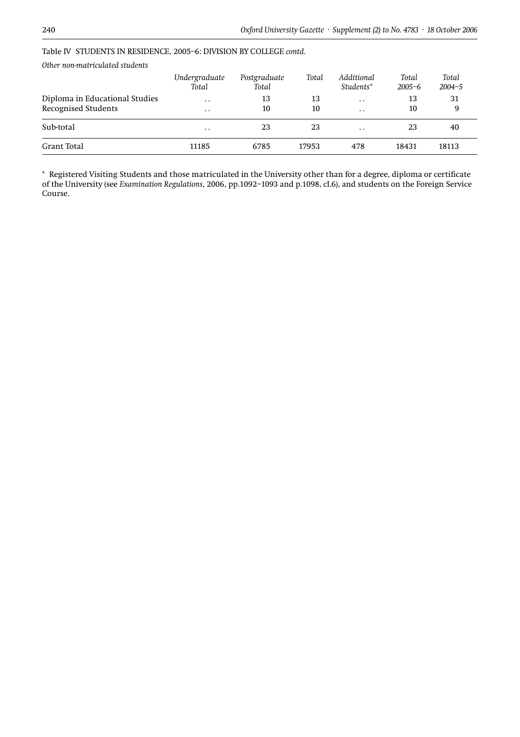| Other non-matriculated students |                        |                       |       |                         |                     |                     |  |
|---------------------------------|------------------------|-----------------------|-------|-------------------------|---------------------|---------------------|--|
|                                 | Undergraduate<br>Total | Postgraduate<br>Total | Total | Additional<br>Students* | Total<br>$2005 - 6$ | Total<br>$2004 - 5$ |  |
| Diploma in Educational Studies  | $\ddot{\phantom{0}}$   | 13                    | 13    | $\cdot$ $\cdot$         | 13                  | 31                  |  |
| <b>Recognised Students</b>      | $\cdot$ .              | 10                    | 10    | $\ddot{\phantom{0}}$    | 10                  | 9                   |  |
| Sub-total                       | $\ddot{\phantom{0}}$   | 23                    | 23    | $\ddot{\phantom{0}}$    | 23                  | 40                  |  |
| Grant Total                     | 11185                  | 6785                  | 17953 | 478                     | 18431               | 18113               |  |

#### Table IV STUDENTS IN RESIDENCE, 2005–6: DIVISION BY COLLEGE *contd.*

*Other non-matriculated students*

\* Registered Visiting Students and those matriculated in the University other than for a degree, diploma or certificate of the University (see *Examination Regulations*, 2006, pp.1092–1093 and p.1098, cl.6), and students on the Foreign Service Course.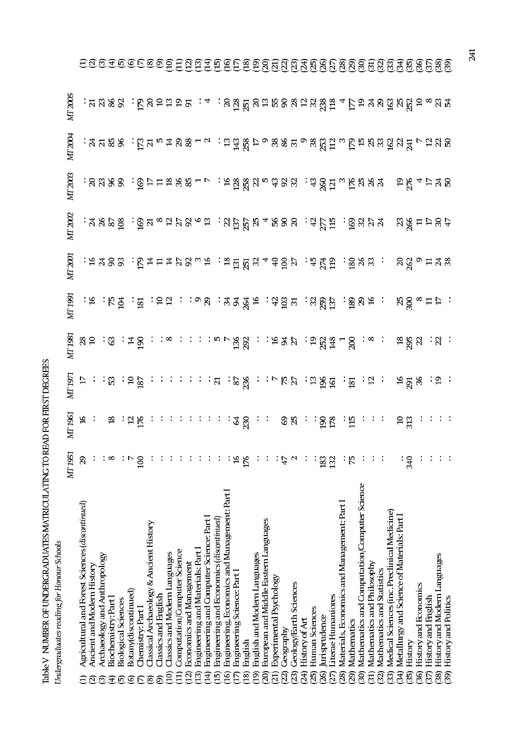|                           | ֦֧֦֧֦֧֦֧֦֧֦֧֦֧֦֧֦֧֦֧֦֧֦֧֧֧֧֧֦֧֧֧֦֧֧֧֧֧֧֧֧֧֧֝֝֝֝֝֝֝֝֝֝֜֜֜֜֓֜֓֜֜֜֜<br>֧֧֧֛֛֛֜֜֞֜֜֜ |                  |                                                                              |         |                                                                                                                                                                                                                                                                                                                                             |                                                                                  |                                                                                                   |         |                                                                |                                                                                      |         |  |
|---------------------------|----------------------------------------------------------------------------------|------------------|------------------------------------------------------------------------------|---------|---------------------------------------------------------------------------------------------------------------------------------------------------------------------------------------------------------------------------------------------------------------------------------------------------------------------------------------------|----------------------------------------------------------------------------------|---------------------------------------------------------------------------------------------------|---------|----------------------------------------------------------------|--------------------------------------------------------------------------------------|---------|--|
|                           |                                                                                  | MI 1951          | MT 1961                                                                      | MT 1971 | NT 1981                                                                                                                                                                                                                                                                                                                                     | MT 1991                                                                          | MT 2001                                                                                           | MT 2002 | MT 2003                                                        | NT 2004                                                                              | MT 2005 |  |
|                           | Agricultural and Forest Sciences (discontinued)                                  | $\overline{29}$  |                                                                              |         |                                                                                                                                                                                                                                                                                                                                             |                                                                                  |                                                                                                   |         |                                                                |                                                                                      |         |  |
|                           | Ancient and Modern History                                                       |                  | : 8                                                                          |         |                                                                                                                                                                                                                                                                                                                                             |                                                                                  |                                                                                                   |         |                                                                |                                                                                      |         |  |
| సె                        | Archaeology and Anthropology                                                     |                  |                                                                              |         |                                                                                                                                                                                                                                                                                                                                             |                                                                                  |                                                                                                   |         |                                                                |                                                                                      |         |  |
| त्त                       | Biochemistry: Part l                                                             | $\infty$         | $\frac{8}{10}$                                                               |         |                                                                                                                                                                                                                                                                                                                                             |                                                                                  |                                                                                                   |         |                                                                |                                                                                      |         |  |
| <u>io</u>                 | <b>Biological Sciences</b>                                                       |                  |                                                                              |         | $33 = 3$ $3 \cdot 2$ $3 \cdot 2$ $3 \cdot 2$ $3 \cdot 2$ $3 \cdot 2$ $3 \cdot 2$ $3 \cdot 2$ $3 \cdot 2$ $3 \cdot 2$ $3 \cdot 2$ $3 \cdot 2$ $3 \cdot 2$ $3 \cdot 2$ $3 \cdot 2$ $3 \cdot 2$ $3 \cdot 2$ $3 \cdot 2$ $3 \cdot 2$ $3 \cdot 2$ $3 \cdot 2$ $3 \cdot 2$ $3 \cdot 2$ $3 \cdot 2$ $3 \cdot 2$ $3 \cdot 2$ $3 \cdot 2$ $3 \cdot $ |                                                                                  |                                                                                                   |         |                                                                |                                                                                      |         |  |
| ଢ଼                        | Botany(discontinued)                                                             |                  |                                                                              |         |                                                                                                                                                                                                                                                                                                                                             |                                                                                  |                                                                                                   |         |                                                                |                                                                                      |         |  |
|                           | Chemistry: Part l                                                                | 100              |                                                                              |         |                                                                                                                                                                                                                                                                                                                                             |                                                                                  |                                                                                                   |         |                                                                |                                                                                      |         |  |
| ∞                         | Classical Archaeology & Ancient History                                          |                  |                                                                              |         |                                                                                                                                                                                                                                                                                                                                             |                                                                                  |                                                                                                   |         |                                                                |                                                                                      |         |  |
| ఠా                        | Classics and English                                                             |                  |                                                                              |         |                                                                                                                                                                                                                                                                                                                                             |                                                                                  |                                                                                                   |         |                                                                |                                                                                      |         |  |
|                           | Classics and Modern Languages                                                    |                  |                                                                              |         | $\colon \infty$                                                                                                                                                                                                                                                                                                                             |                                                                                  |                                                                                                   |         |                                                                |                                                                                      |         |  |
| ヨ                         | Computation/Computer Science                                                     |                  |                                                                              |         |                                                                                                                                                                                                                                                                                                                                             |                                                                                  |                                                                                                   |         |                                                                |                                                                                      |         |  |
| 2                         | <b>Economics and Management</b>                                                  |                  |                                                                              |         |                                                                                                                                                                                                                                                                                                                                             |                                                                                  |                                                                                                   |         |                                                                |                                                                                      |         |  |
| $\overline{13}$           | Engineering and Materials: Part I                                                |                  |                                                                              |         |                                                                                                                                                                                                                                                                                                                                             |                                                                                  |                                                                                                   |         |                                                                |                                                                                      |         |  |
| $\overline{4}$            | Engineering and Computer Science: Part I                                         |                  |                                                                              |         |                                                                                                                                                                                                                                                                                                                                             |                                                                                  |                                                                                                   |         |                                                                |                                                                                      |         |  |
| $\widehat{5}$             | Engineering and Economics (discontinued)                                         |                  |                                                                              |         |                                                                                                                                                                                                                                                                                                                                             |                                                                                  |                                                                                                   |         |                                                                |                                                                                      |         |  |
| ହି                        | Engineering, Economics and Management: Part I                                    |                  |                                                                              |         |                                                                                                                                                                                                                                                                                                                                             |                                                                                  |                                                                                                   |         |                                                                |                                                                                      |         |  |
| $\boldsymbol{\varSigma}$  | Engineering Science: Part I                                                      | $\mathfrak{A}$   |                                                                              |         |                                                                                                                                                                                                                                                                                                                                             |                                                                                  |                                                                                                   |         |                                                                |                                                                                      |         |  |
| $\widetilde{18}$          | English                                                                          | 176              |                                                                              |         |                                                                                                                                                                                                                                                                                                                                             |                                                                                  |                                                                                                   |         |                                                                |                                                                                      |         |  |
| $\widehat{9}$             | English and Modern Languages                                                     |                  |                                                                              |         | $\therefore$ $\therefore$ $\omega \sim \frac{3}{2}$ $\frac{3}{2}$ $\therefore$ $\frac{3}{2}$ $\frac{3}{2}$ $\therefore$ $\frac{3}{2}$ $\frac{3}{2}$ $\frac{4}{2}$ $\frac{3}{2}$ $\frac{3}{2}$ $\therefore$                                                                                                                                  |                                                                                  |                                                                                                   |         |                                                                |                                                                                      |         |  |
| $\widehat{20}$            | European and Middle Eastern Languages                                            |                  |                                                                              |         |                                                                                                                                                                                                                                                                                                                                             |                                                                                  |                                                                                                   |         |                                                                |                                                                                      |         |  |
| $\widehat{\pi}$           | Experimental Psychology                                                          |                  |                                                                              |         |                                                                                                                                                                                                                                                                                                                                             |                                                                                  |                                                                                                   |         |                                                                |                                                                                      |         |  |
| 22)                       | Geography                                                                        | : $\frac{4}{7}$  |                                                                              |         |                                                                                                                                                                                                                                                                                                                                             |                                                                                  |                                                                                                   |         |                                                                |                                                                                      |         |  |
| 23)                       | Geology/Earth Sciences                                                           | $\sim$           |                                                                              |         |                                                                                                                                                                                                                                                                                                                                             |                                                                                  |                                                                                                   |         |                                                                |                                                                                      |         |  |
| 24)                       | History of Art                                                                   |                  |                                                                              |         |                                                                                                                                                                                                                                                                                                                                             |                                                                                  |                                                                                                   |         |                                                                |                                                                                      |         |  |
| (25)                      | Human Sciences                                                                   |                  |                                                                              |         |                                                                                                                                                                                                                                                                                                                                             |                                                                                  |                                                                                                   |         |                                                                |                                                                                      |         |  |
| 26)                       | lurisprudence                                                                    | 183              |                                                                              |         |                                                                                                                                                                                                                                                                                                                                             |                                                                                  |                                                                                                   |         |                                                                |                                                                                      |         |  |
| $\widetilde{\Sigma}$      | Literae Humaniores                                                               | 132              |                                                                              |         |                                                                                                                                                                                                                                                                                                                                             |                                                                                  |                                                                                                   |         |                                                                |                                                                                      |         |  |
| 28)                       | Materials, Economics and Management: Part 1                                      |                  |                                                                              |         |                                                                                                                                                                                                                                                                                                                                             |                                                                                  |                                                                                                   |         |                                                                |                                                                                      |         |  |
| (62)                      | Mathematics                                                                      | : $\overline{5}$ |                                                                              |         |                                                                                                                                                                                                                                                                                                                                             |                                                                                  |                                                                                                   |         |                                                                |                                                                                      |         |  |
| $\widehat{50}$            | Mathematics and Computation/Computer Science                                     |                  |                                                                              |         |                                                                                                                                                                                                                                                                                                                                             |                                                                                  |                                                                                                   |         |                                                                |                                                                                      |         |  |
| 31)                       | Mathematics and Philosophy                                                       |                  |                                                                              |         |                                                                                                                                                                                                                                                                                                                                             |                                                                                  |                                                                                                   |         |                                                                |                                                                                      |         |  |
| (32)                      | Mathematics and Statistics                                                       |                  |                                                                              |         |                                                                                                                                                                                                                                                                                                                                             |                                                                                  |                                                                                                   |         |                                                                |                                                                                      |         |  |
| (33)                      | Medical Sciences (inc. Preclinical Medicine)                                     |                  |                                                                              |         |                                                                                                                                                                                                                                                                                                                                             |                                                                                  |                                                                                                   |         |                                                                |                                                                                      |         |  |
| $\mathfrak{B}$            | Metallurgy and Science of Materials: Part I                                      |                  |                                                                              |         |                                                                                                                                                                                                                                                                                                                                             |                                                                                  |                                                                                                   |         |                                                                |                                                                                      |         |  |
| $\overline{35}$           | History                                                                          | 940              |                                                                              |         |                                                                                                                                                                                                                                                                                                                                             |                                                                                  |                                                                                                   |         |                                                                |                                                                                      |         |  |
| $\widetilde{3}$           | <b>History and Economics</b>                                                     |                  |                                                                              |         |                                                                                                                                                                                                                                                                                                                                             |                                                                                  |                                                                                                   |         |                                                                |                                                                                      |         |  |
| $\widetilde{\mathcal{E}}$ | History and English                                                              |                  |                                                                              |         |                                                                                                                                                                                                                                                                                                                                             |                                                                                  |                                                                                                   |         |                                                                |                                                                                      |         |  |
| (38)                      | History and Modern Languages                                                     |                  | ះដង : : : : : : : : : : : ag : :       an : : 3 ឌ : : ដ : : :     ag : : : : | 98.38:9 | ឌន្លួង :ង :                                                                                                                                                                                                                                                                                                                                 | ା ଅା ମୁଖି । ସେ ମା ରେ ଅ ମୁଖି କୁ ମୁଖି ଅ ସି ଅ ମୁଖି । ସିଥି ମା ରେ ଅ ମା ମା ରେ କେ ମା ମା | ୍ର୍ୟାଚ୍ଚ୍ଚାମିକ୍ ସ୍କାର୍ଥି ଏକ୍ ସେ ସିଥି ଏକ୍ ସିମ୍ବା କେ ସିଥି ଏହି ସେ ଓ ଏକ୍ ସିଥି ଏକ୍ ସିଥି ଏକ୍ ସେ ସିଥି ଏକ |         | ះឧឌននា ខ្ទើមដងនេសក្នុងនិងស្ទឹងស្ទឹងនេស្ត នៅនិង ស្ទឹងស្ទឹងស្ទឹង | ៈ ង ដ ន ន ៖ ជួ ដ ២ ដ ន ន – ៧ ៖ ជ ម្ជ ន្ត ឯ ១ ន ន ដ ១ ន ន្ត ដ . ស ជ ដ ន ដ ន ដ ។ ដ ន ន |         |  |
| 39)                       | <b>History and Politics</b>                                                      |                  |                                                                              |         |                                                                                                                                                                                                                                                                                                                                             |                                                                                  |                                                                                                   |         |                                                                |                                                                                      |         |  |

Table V NUMBER OF UNDERGRADUATES MATRICULATING TO READ FOR FIRST DEGREES<br>Undergraduates reading for Honour Schools